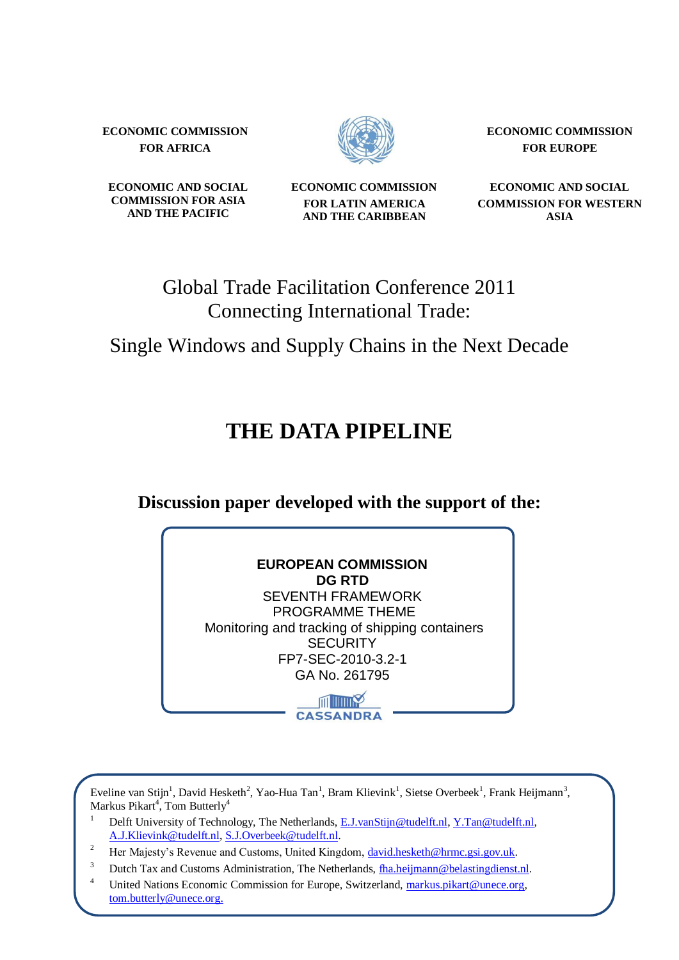**ECONOMIC COMMISSION FOR AFRICA**



**ECONOMIC COMMISSION FOR EUROPE**

**ECONOMIC AND SOCIAL COMMISSION FOR ASIA AND THE PACIFIC**

**ECONOMIC COMMISSION FOR LATIN AMERICA AND THE CARIBBEAN**

**ECONOMIC AND SOCIAL COMMISSION FOR WESTERN ASIA**

## Global Trade Facilitation Conference 2011 Connecting International Trade:

Single Windows and Supply Chains in the Next Decade

# **THE DATA PIPELINE**

**Discussion paper developed with the support of the:**

| <b>EUROPEAN COMMISSION</b>                     |
|------------------------------------------------|
| <b>DG RTD</b>                                  |
| <b>SEVENTH FRAMEWORK</b>                       |
| PROGRAMME THEME                                |
| Monitoring and tracking of shipping containers |
| <b>SECURITY</b>                                |
| FP7-SEC-2010-3.2-1                             |
| GA No. 261795                                  |
| <b>CASSANDRA</b>                               |

Eveline van Stijn<sup>1</sup>, David Hesketh<sup>2</sup>, Yao-Hua Tan<sup>1</sup>, Bram Klievink<sup>1</sup>, Sietse Overbeek<sup>1</sup>, Frank Heijmann<sup>3</sup>, Markus Pikart<sup>4</sup>, Tom Butterly<sup>4</sup>

- <sup>1</sup> Delft University of Technology, The Netherlands[, E.J.vanStijn@tudelft.nl,](mailto:E.J.vanStijn@tudelft.nl) [Y.Tan@tudelft.nl,](mailto:Y.Tan@tudelft.nl)  [A.J.Klievink@tudelft.nl,](mailto:A.J.Klievink@tudelft.nl) [S.J.Overbeek@tudelft.nl.](mailto:S.J.Overbeek@tudelft.nl)
- Her Majesty's Revenue and Customs, United Kingdom, [david.hesketh@hrmc.gsi.gov.uk.](mailto:david.hesketh@hrmc.gsi.gov.uk)
- <sup>3</sup> Dutch Tax and Customs Administration, The Netherlands, tha.heijmann@belastingdienst.nl.
- <sup>4</sup> United Nations Economic Commission for Europe, Switzerland, [markus.pikart@unece.org,](mailto:markus.pikart@unece.org) tom.butterly@unece.org.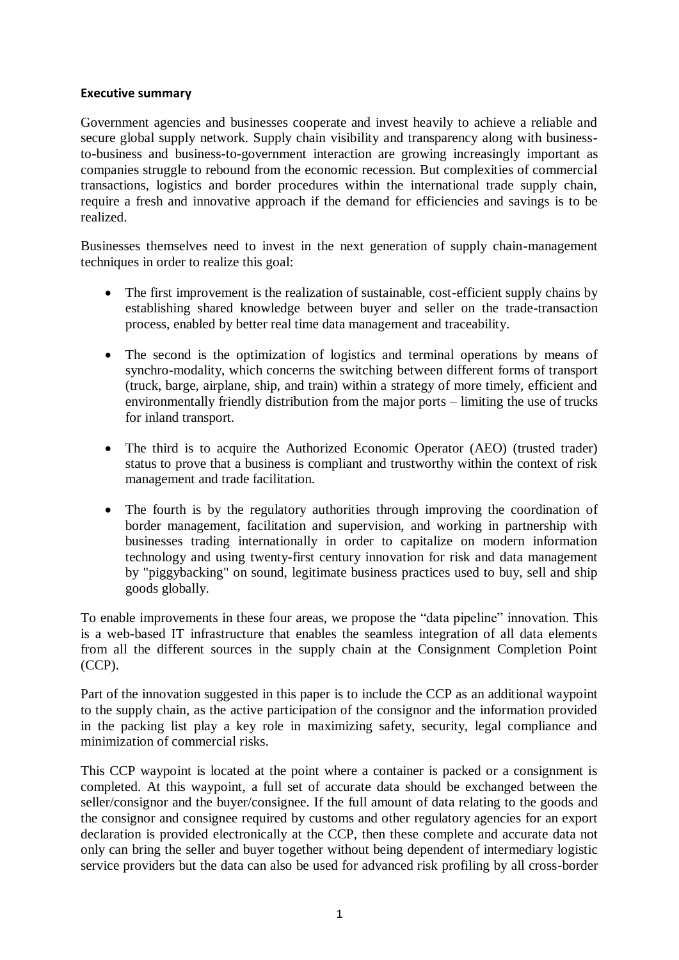#### **Executive summary**

Government agencies and businesses cooperate and invest heavily to achieve a reliable and secure global supply network. Supply chain visibility and transparency along with businessto-business and business-to-government interaction are growing increasingly important as companies struggle to rebound from the economic recession. But complexities of commercial transactions, logistics and border procedures within the international trade supply chain, require a fresh and innovative approach if the demand for efficiencies and savings is to be realized.

Businesses themselves need to invest in the next generation of supply chain-management techniques in order to realize this goal:

- The first improvement is the realization of sustainable, cost-efficient supply chains by establishing shared knowledge between buyer and seller on the trade-transaction process, enabled by better real time data management and traceability.
- The second is the optimization of logistics and terminal operations by means of synchro-modality, which concerns the switching between different forms of transport (truck, barge, airplane, ship, and train) within a strategy of more timely, efficient and environmentally friendly distribution from the major ports – limiting the use of trucks for inland transport.
- The third is to acquire the Authorized Economic Operator (AEO) (trusted trader) status to prove that a business is compliant and trustworthy within the context of risk management and trade facilitation.
- The fourth is by the regulatory authorities through improving the coordination of border management, facilitation and supervision, and working in partnership with businesses trading internationally in order to capitalize on modern information technology and using twenty-first century innovation for risk and data management by "piggybacking" on sound, legitimate business practices used to buy, sell and ship goods globally.

To enable improvements in these four areas, we propose the "data pipeline" innovation. This is a web-based IT infrastructure that enables the seamless integration of all data elements from all the different sources in the supply chain at the Consignment Completion Point (CCP).

Part of the innovation suggested in this paper is to include the CCP as an additional waypoint to the supply chain, as the active participation of the consignor and the information provided in the packing list play a key role in maximizing safety, security, legal compliance and minimization of commercial risks.

This CCP waypoint is located at the point where a container is packed or a consignment is completed. At this waypoint, a full set of accurate data should be exchanged between the seller/consignor and the buyer/consignee. If the full amount of data relating to the goods and the consignor and consignee required by customs and other regulatory agencies for an export declaration is provided electronically at the CCP, then these complete and accurate data not only can bring the seller and buyer together without being dependent of intermediary logistic service providers but the data can also be used for advanced risk profiling by all cross-border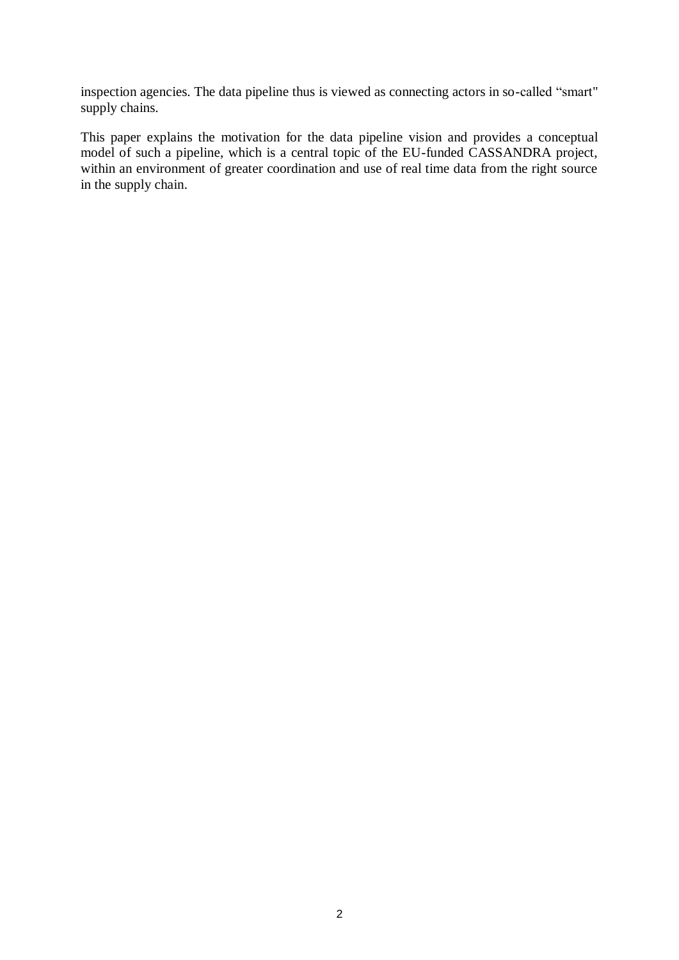inspection agencies. The data pipeline thus is viewed as connecting actors in so-called "smart" supply chains.

This paper explains the motivation for the data pipeline vision and provides a conceptual model of such a pipeline, which is a central topic of the EU-funded CASSANDRA project, within an environment of greater coordination and use of real time data from the right source in the supply chain.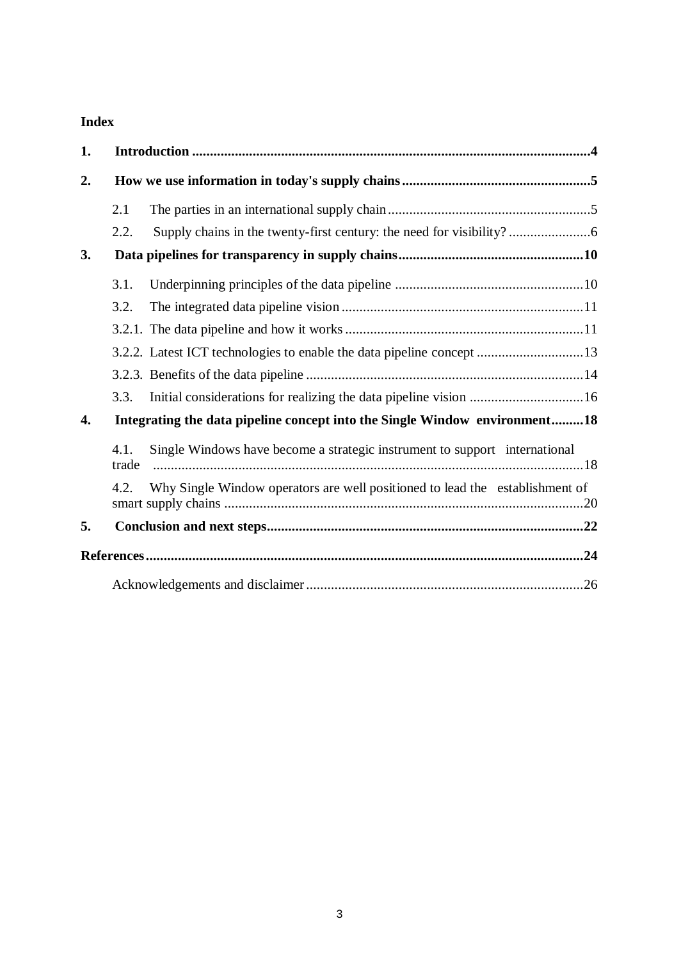## **Index**

| 1. |                                                                            |                                                                              |  |
|----|----------------------------------------------------------------------------|------------------------------------------------------------------------------|--|
| 2. |                                                                            |                                                                              |  |
|    | 2.1                                                                        |                                                                              |  |
|    | 2.2.                                                                       |                                                                              |  |
| 3. |                                                                            |                                                                              |  |
|    | 3.1.                                                                       |                                                                              |  |
|    | 3.2.                                                                       |                                                                              |  |
|    |                                                                            |                                                                              |  |
|    |                                                                            |                                                                              |  |
|    |                                                                            |                                                                              |  |
|    | 3.3.                                                                       | Initial considerations for realizing the data pipeline vision 16             |  |
| 4. | Integrating the data pipeline concept into the Single Window environment18 |                                                                              |  |
|    | 4.1.<br>trade                                                              | Single Windows have become a strategic instrument to support international   |  |
|    | 4.2.                                                                       | Why Single Window operators are well positioned to lead the establishment of |  |
| 5. |                                                                            |                                                                              |  |
|    |                                                                            |                                                                              |  |
|    |                                                                            |                                                                              |  |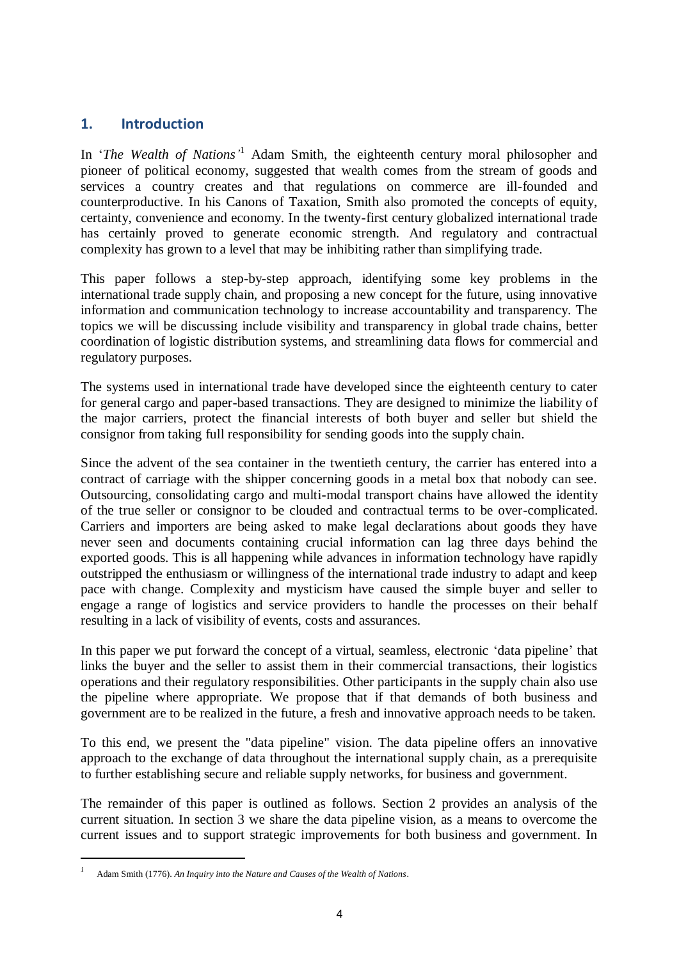### **1. Introduction**

In '*The Wealth of Nations*<sup>1</sup> Adam Smith, the eighteenth century moral philosopher and pioneer of political economy, suggested that wealth comes from the stream of goods and services a country creates and that regulations on commerce are ill-founded and counterproductive. In his Canons of Taxation, Smith also promoted the concepts of equity, certainty, convenience and economy. In the twenty-first century globalized international trade has certainly proved to generate economic strength. And regulatory and contractual complexity has grown to a level that may be inhibiting rather than simplifying trade.

This paper follows a step-by-step approach, identifying some key problems in the international trade supply chain, and proposing a new concept for the future, using innovative information and communication technology to increase accountability and transparency. The topics we will be discussing include visibility and transparency in global trade chains, better coordination of logistic distribution systems, and streamlining data flows for commercial and regulatory purposes.

The systems used in international trade have developed since the eighteenth century to cater for general cargo and paper-based transactions. They are designed to minimize the liability of the major carriers, protect the financial interests of both buyer and seller but shield the consignor from taking full responsibility for sending goods into the supply chain.

Since the advent of the sea container in the twentieth century, the carrier has entered into a contract of carriage with the shipper concerning goods in a metal box that nobody can see. Outsourcing, consolidating cargo and multi-modal transport chains have allowed the identity of the true seller or consignor to be clouded and contractual terms to be over-complicated. Carriers and importers are being asked to make legal declarations about goods they have never seen and documents containing crucial information can lag three days behind the exported goods. This is all happening while advances in information technology have rapidly outstripped the enthusiasm or willingness of the international trade industry to adapt and keep pace with change. Complexity and mysticism have caused the simple buyer and seller to engage a range of logistics and service providers to handle the processes on their behalf resulting in a lack of visibility of events, costs and assurances.

In this paper we put forward the concept of a virtual, seamless, electronic ‗data pipeline' that links the buyer and the seller to assist them in their commercial transactions, their logistics operations and their regulatory responsibilities. Other participants in the supply chain also use the pipeline where appropriate. We propose that if that demands of both business and government are to be realized in the future, a fresh and innovative approach needs to be taken.

To this end, we present the "data pipeline" vision. The data pipeline offers an innovative approach to the exchange of data throughout the international supply chain, as a prerequisite to further establishing secure and reliable supply networks, for business and government.

The remainder of this paper is outlined as follows. Section 2 provides an analysis of the current situation. In section 3 we share the data pipeline vision, as a means to overcome the current issues and to support strategic improvements for both business and government. In

1

*<sup>1</sup>* Adam Smith (1776). *An Inquiry into the Nature and Causes of the Wealth of Nations*.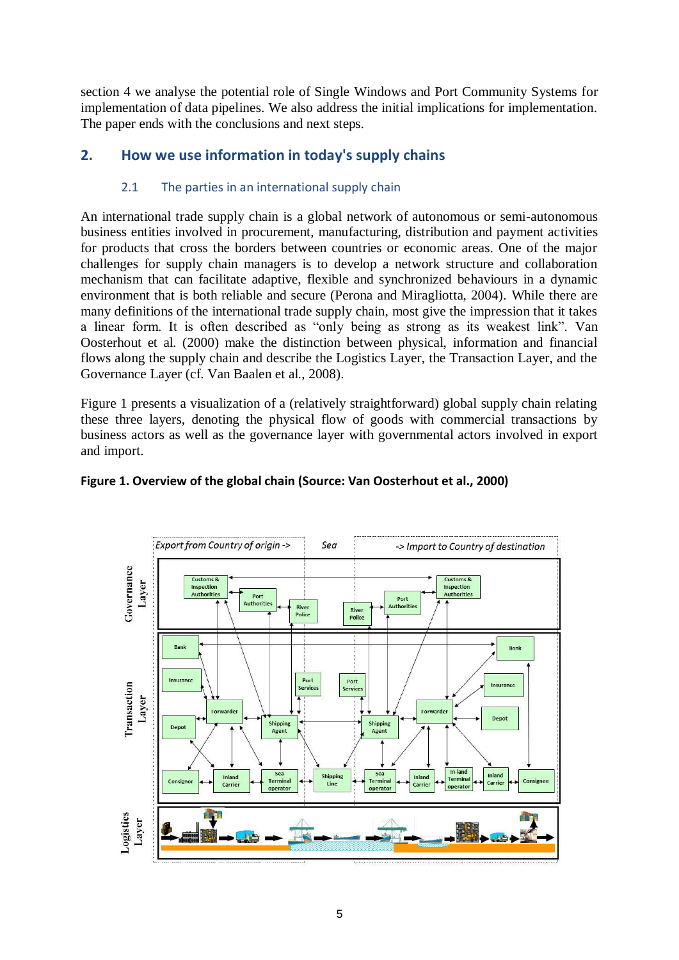section 4 we analyse the potential role of Single Windows and Port Community Systems for implementation of data pipelines. We also address the initial implications for implementation. The paper ends with the conclusions and next steps.

## **2. How we use information in today's supply chains**

#### 2.1 The parties in an international supply chain

An international trade supply chain is a global network of autonomous or semi-autonomous business entities involved in procurement, manufacturing, distribution and payment activities for products that cross the borders between countries or economic areas. One of the major challenges for supply chain managers is to develop a network structure and collaboration mechanism that can facilitate adaptive, flexible and synchronized behaviours in a dynamic environment that is both reliable and secure (Perona and Miragliotta, 2004). While there are many definitions of the international trade supply chain, most give the impression that it takes a linear form. It is often described as "only being as strong as its weakest link". Van Oosterhout et al. (2000) make the distinction between physical, information and financial flows along the supply chain and describe the Logistics Layer, the Transaction Layer, and the Governance Layer (cf. Van Baalen et al., 2008).

Figure 1 presents a visualization of a (relatively straightforward) global supply chain relating these three layers, denoting the physical flow of goods with commercial transactions by business actors as well as the governance layer with governmental actors involved in export and import.



#### **Figure 1. Overview of the global chain (Source: Van Oosterhout et al., 2000)**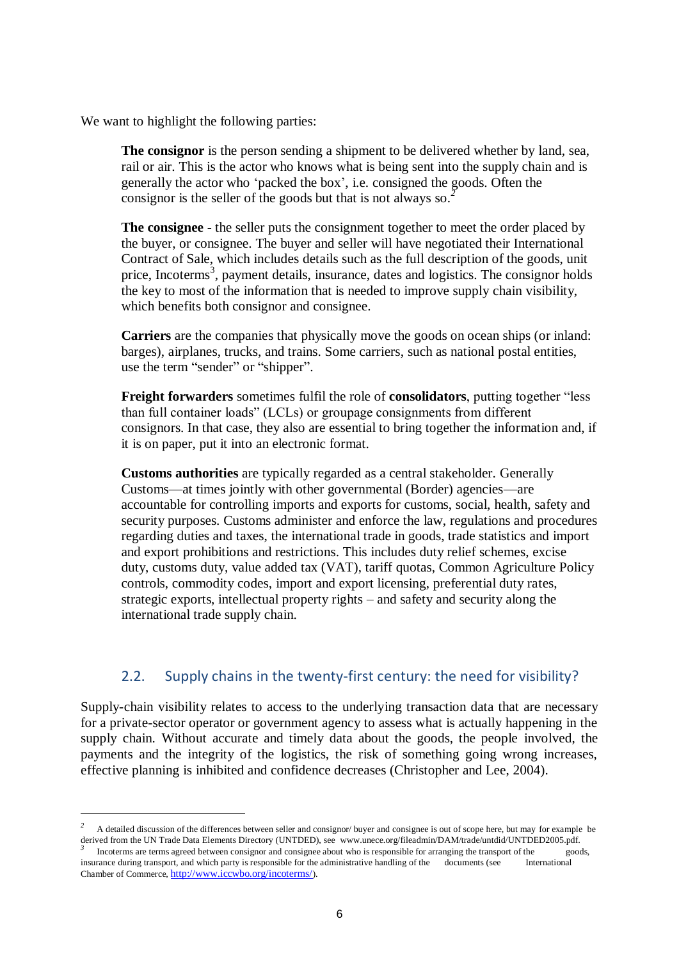We want to highlight the following parties:

**.** 

**The consignor** is the person sending a shipment to be delivered whether by land, sea, rail or air. This is the actor who knows what is being sent into the supply chain and is generally the actor who 'packed the box', i.e. consigned the goods. Often the consignor is the seller of the goods but that is not always so.*<sup>2</sup>*

**The consignee -** the seller puts the consignment together to meet the order placed by the buyer, or consignee. The buyer and seller will have negotiated their International Contract of Sale, which includes details such as the full description of the goods, unit price, Incoterms<sup>3</sup>, payment details, insurance, dates and logistics. The consignor holds the key to most of the information that is needed to improve supply chain visibility, which benefits both consignor and consignee.

**Carriers** are the companies that physically move the goods on ocean ships (or inland: barges), airplanes, trucks, and trains. Some carriers, such as national postal entities, use the term "sender" or "shipper".

**Freight forwarders** sometimes fulfil the role of **consolidators**, putting together "less" than full container loads‖ (LCLs) or groupage consignments from different consignors. In that case, they also are essential to bring together the information and, if it is on paper, put it into an electronic format.

**Customs authorities** are typically regarded as a central stakeholder. Generally Customs—at times jointly with other governmental (Border) agencies—are accountable for controlling imports and exports for customs, social, health, safety and security purposes. Customs administer and enforce the law, regulations and procedures regarding duties and taxes, the international trade in goods, trade statistics and import and export prohibitions and restrictions. This includes duty relief schemes, excise duty, customs duty, value added tax (VAT), tariff quotas, Common Agriculture Policy controls, commodity codes, import and export licensing, preferential duty rates, strategic exports, intellectual property rights – and safety and security along the international trade supply chain.

## 2.2. Supply chains in the twenty-first century: the need for visibility?

Supply-chain visibility relates to access to the underlying transaction data that are necessary for a private-sector operator or government agency to assess what is actually happening in the supply chain. Without accurate and timely data about the goods, the people involved, the payments and the integrity of the logistics, the risk of something going wrong increases, effective planning is inhibited and confidence decreases (Christopher and Lee, 2004).

*<sup>2</sup>* A detailed discussion of the differences between seller and consignor/ buyer and consignee is out of scope here, but may for example be derived from the UN Trade Data Elements Directory (UNTDED), see www.unece.org/fileadmin/DAM/trade/untdid/UNTDED2005.pdf.<br><sup>3</sup> Legatering are terms agreed hetween agraigner and agraignee about who is recognosible for arrangi Incoterms are terms agreed between consignor and consignee about who is responsible for arranging the transport of the goods, insurance during transport, and which party is responsible for the administrative handling of the documents (see International Chamber of Commerce, <http://www.iccwbo.org/incoterms/>).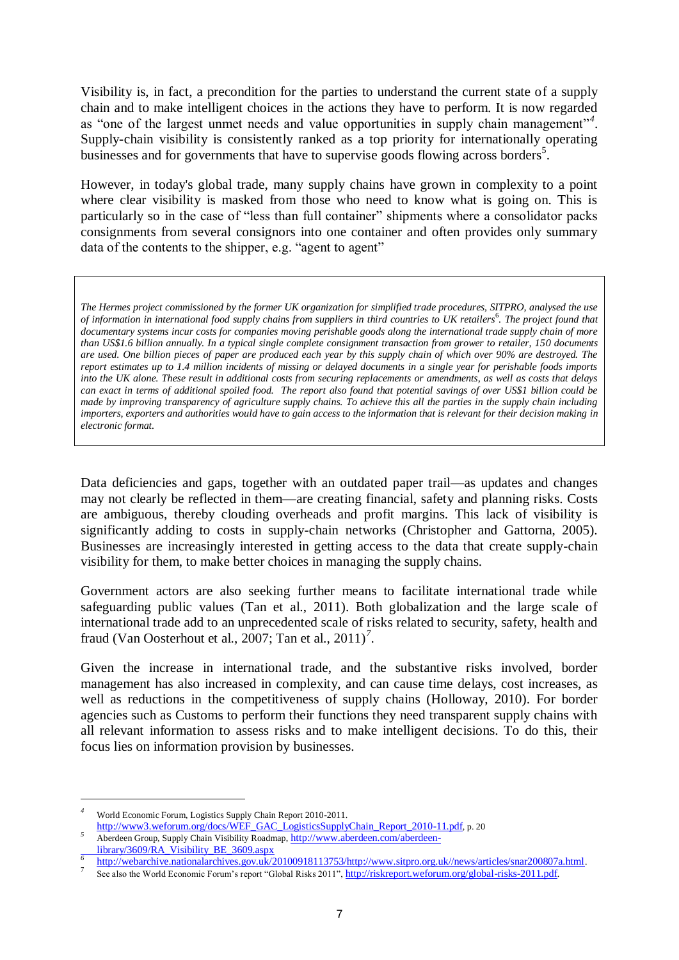Visibility is, in fact, a precondition for the parties to understand the current state of a supply chain and to make intelligent choices in the actions they have to perform. It is now regarded as "one of the largest unmet needs and value opportunities in supply chain management"<sup>4</sup>. Supply-chain visibility is consistently ranked as a top priority for internationally operating businesses and for governments that have to supervise goods flowing across borders<sup>5</sup>.

However, in today's global trade, many supply chains have grown in complexity to a point where clear visibility is masked from those who need to know what is going on. This is particularly so in the case of "less than full container" shipments where a consolidator packs consignments from several consignors into one container and often provides only summary data of the contents to the shipper, e.g. "agent to agent"

*The Hermes project commissioned by the former UK organization for simplified trade procedures, SITPRO, analysed the use*  of information in international food supply chains from suppliers in third countries to UK retailers<sup>6</sup>. The project found that *documentary systems incur costs for companies moving perishable goods along the international trade supply chain of more than US\$1.6 billion annually. In a typical single complete consignment transaction from grower to retailer, 150 documents are used. One billion pieces of paper are produced each year by this supply chain of which over 90% are destroyed. The report estimates up to 1.4 million incidents of missing or delayed documents in a single year for perishable foods imports into the UK alone. These result in additional costs from securing replacements or amendments, as well as costs that delays can exact in terms of additional spoiled food. The report also found that potential savings of over US\$1 billion could be made by improving transparency of agriculture supply chains. To achieve this all the parties in the supply chain including importers, exporters and authorities would have to gain access to the information that is relevant for their decision making in electronic format.* 

Data deficiencies and gaps, together with an outdated paper trail—as updates and changes may not clearly be reflected in them—are creating financial, safety and planning risks. Costs are ambiguous, thereby clouding overheads and profit margins. This lack of visibility is significantly adding to costs in supply-chain networks (Christopher and Gattorna, 2005). Businesses are increasingly interested in getting access to the data that create supply-chain visibility for them, to make better choices in managing the supply chains.

Government actors are also seeking further means to facilitate international trade while safeguarding public values (Tan et al., 2011). Both globalization and the large scale of international trade add to an unprecedented scale of risks related to security, safety, health and fraud (Van Oosterhout et al., 2007; Tan et al., 2011)*<sup>7</sup>* .

Given the increase in international trade, and the substantive risks involved, border management has also increased in complexity, and can cause time delays, cost increases, as well as reductions in the competitiveness of supply chains (Holloway, 2010). For border agencies such as Customs to perform their functions they need transparent supply chains with all relevant information to assess risks and to make intelligent decisions. To do this, their focus lies on information provision by businesses.

*<sup>4</sup>* World Economic Forum, Logistics Supply Chain Report 2010-2011.

[http://www3.weforum.org/docs/WEF\\_GAC\\_LogisticsSupplyChain\\_Report\\_2010-11.pdf](http://www3.weforum.org/docs/WEF_GAC_LogisticsSupplyChain_Report_2010-11.pdf), p. 20 *<sup>5</sup>* Aberdeen Group, Supply Chain Visibility Roadmap, [http://www.aberdeen.com/aberdeen](http://www.aberdeen.com/aberdeen-library/3609/RA_Visibility_BE_3609.aspx)[library/3609/RA\\_Visibility\\_BE\\_3609.aspx](http://www.aberdeen.com/aberdeen-library/3609/RA_Visibility_BE_3609.aspx)

*<sup>6</sup>* [http://webarchive.nationalarchives.gov.uk/20100918113753/http://www.sitpro.org.uk//news/articles/snar200807a.html](http://webarchive.nationalarchives.gov.uk/20100918113753/http:/www.sitpro.org.uk/news/articles/snar200807a.html).

<sup>7</sup> See also the World Economic Forum's report "Global Risks 2011", <http://riskreport.weforum.org/global-risks-2011.pdf>.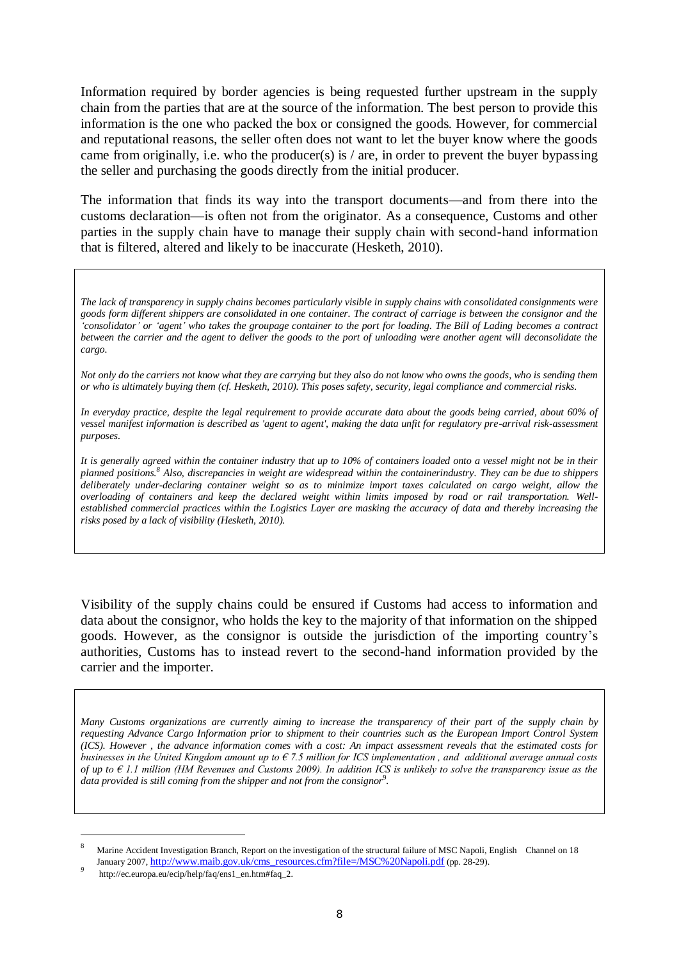Information required by border agencies is being requested further upstream in the supply chain from the parties that are at the source of the information. The best person to provide this information is the one who packed the box or consigned the goods. However, for commercial and reputational reasons, the seller often does not want to let the buyer know where the goods came from originally, i.e. who the producer(s) is / are, in order to prevent the buyer bypassing the seller and purchasing the goods directly from the initial producer.

The information that finds its way into the transport documents—and from there into the customs declaration—is often not from the originator. As a consequence, Customs and other parties in the supply chain have to manage their supply chain with second-hand information that is filtered, altered and likely to be inaccurate (Hesketh, 2010).

*The lack of transparency in supply chains becomes particularly visible in supply chains with consolidated consignments were goods form different shippers are consolidated in one container. The contract of carriage is between the consignor and the "consolidator" or "agent" who takes the groupage container to the port for loading. The Bill of Lading becomes a contract between the carrier and the agent to deliver the goods to the port of unloading were another agent will deconsolidate the cargo.* 

*Not only do the carriers not know what they are carrying but they also do not know who owns the goods, who is sending them or who is ultimately buying them (cf. Hesketh, 2010). This poses safety, security, legal compliance and commercial risks.* 

*In everyday practice, despite the legal requirement to provide accurate data about the goods being carried, about 60% of vessel manifest information is described as 'agent to agent', making the data unfit for regulatory pre-arrival risk-assessment purposes.* 

*It is generally agreed within the container industry that up to 10% of containers loaded onto a vessel might not be in their planned positions.<sup>8</sup> Also, discrepancies in weight are widespread within the containerindustry. They can be due to shippers*  deliberately under-declaring container weight so as to minimize import taxes calculated on cargo weight, allow the *overloading of containers and keep the declared weight within limits imposed by road or rail transportation. Wellestablished commercial practices within the Logistics Layer are masking the accuracy of data and thereby increasing the risks posed by a lack of visibility (Hesketh, 2010).*

Visibility of the supply chains could be ensured if Customs had access to information and data about the consignor, who holds the key to the majority of that information on the shipped goods. However, as the consignor is outside the jurisdiction of the importing country's authorities, Customs has to instead revert to the second-hand information provided by the carrier and the importer.

*Many Customs organizations are currently aiming to increase the transparency of their part of the supply chain by requesting Advance Cargo Information prior to shipment to their countries such as the European Import Control System (ICS). However , the advance information comes with a cost: An impact assessment reveals that the estimated costs for businesses in the United Kingdom amount up to € 7.5 million for ICS implementation , and additional average annual costs of up to € 1.1 million (HM Revenues and Customs 2009). In addition ICS is unlikely to solve the transparency issue as the*  data provided is still coming from the shipper and not from the consignor<sup>9</sup>.

<sup>8</sup> Marine Accident Investigation Branch, Report on the investigation of the structural failure of MSC Napoli, English Channel on 18 January 2007, [http://www.maib.gov.uk/cms\\_resources.cfm?file=/MSC%20Napoli.pdf](http://www.maib.gov.uk/cms_resources.cfm?file=/MSC%20Napoli.pdf) (pp. 28-29).

*<sup>9</sup>* http://ec.europa.eu/ecip/help/faq/ens1\_en.htm#faq\_2.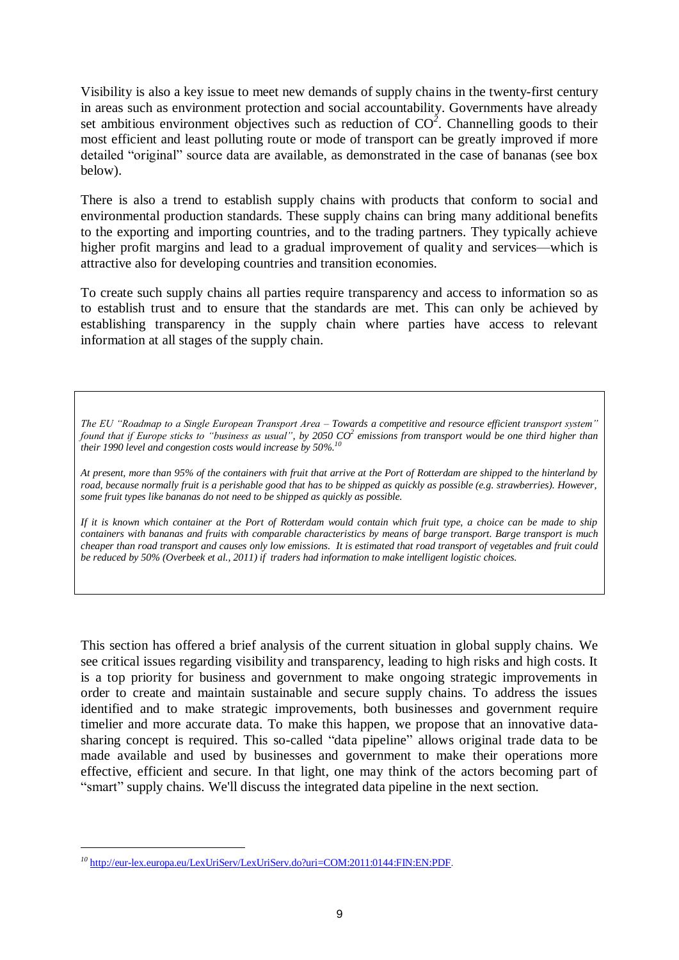Visibility is also a key issue to meet new demands of supply chains in the twenty-first century in areas such as environment protection and social accountability. Governments have already set ambitious environment objectives such as reduction of  $CO<sup>2</sup>$ . Channelling goods to their most efficient and least polluting route or mode of transport can be greatly improved if more detailed "original" source data are available, as demonstrated in the case of bananas (see box below).

There is also a trend to establish supply chains with products that conform to social and environmental production standards. These supply chains can bring many additional benefits to the exporting and importing countries, and to the trading partners. They typically achieve higher profit margins and lead to a gradual improvement of quality and services—which is attractive also for developing countries and transition economies.

To create such supply chains all parties require transparency and access to information so as to establish trust and to ensure that the standards are met. This can only be achieved by establishing transparency in the supply chain where parties have access to relevant information at all stages of the supply chain.

*The EU "Roadmap to a Single European Transport Area – Towards a competitive and resource efficient transport system" found that if Europe sticks to "business as usual", by 2050 CO<sup>2</sup> emissions from transport would be one third higher than their 1990 level and congestion costs would increase by 50%.<sup>10</sup>*

*At present, more than 95% of the containers with fruit that arrive at the Port of Rotterdam are shipped to the hinterland by road, because normally fruit is a perishable good that has to be shipped as quickly as possible (e.g. strawberries). However, some fruit types like bananas do not need to be shipped as quickly as possible.* 

*If it is known which container at the Port of Rotterdam would contain which fruit type, a choice can be made to ship containers with bananas and fruits with comparable characteristics by means of barge transport. Barge transport is much cheaper than road transport and causes only low emissions. It is estimated that road transport of vegetables and fruit could be reduced by 50% (Overbeek et al., 2011) if traders had information to make intelligent logistic choices.* 

This section has offered a brief analysis of the current situation in global supply chains. We see critical issues regarding visibility and transparency, leading to high risks and high costs. It is a top priority for business and government to make ongoing strategic improvements in order to create and maintain sustainable and secure supply chains. To address the issues identified and to make strategic improvements, both businesses and government require timelier and more accurate data. To make this happen, we propose that an innovative datasharing concept is required. This so-called "data pipeline" allows original trade data to be made available and used by businesses and government to make their operations more effective, efficient and secure. In that light, one may think of the actors becoming part of "smart" supply chains. We'll discuss the integrated data pipeline in the next section.

*<sup>10</sup>* <http://eur-lex.europa.eu/LexUriServ/LexUriServ.do?uri=COM:2011:0144:FIN:EN:PDF>.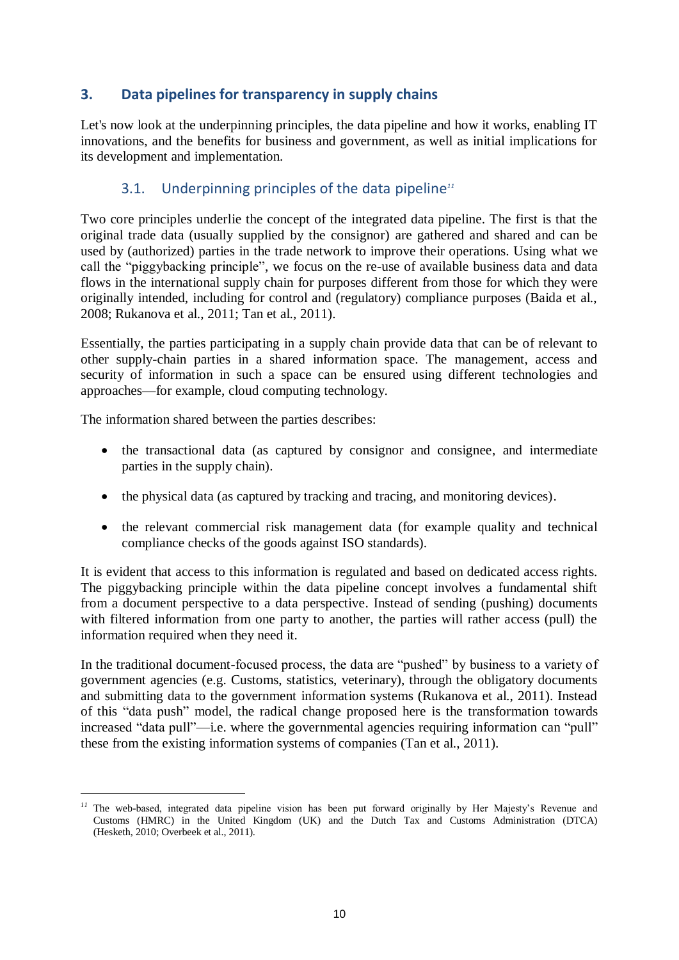## **3. Data pipelines for transparency in supply chains**

Let's now look at the underpinning principles, the data pipeline and how it works, enabling IT innovations, and the benefits for business and government, as well as initial implications for its development and implementation.

## 3.1. Underpinning principles of the data pipeline*<sup>11</sup>*

Two core principles underlie the concept of the integrated data pipeline. The first is that the original trade data (usually supplied by the consignor) are gathered and shared and can be used by (authorized) parties in the trade network to improve their operations. Using what we call the "piggybacking principle", we focus on the re-use of available business data and data flows in the international supply chain for purposes different from those for which they were originally intended, including for control and (regulatory) compliance purposes (Baida et al., 2008; Rukanova et al., 2011; Tan et al., 2011).

Essentially, the parties participating in a supply chain provide data that can be of relevant to other supply-chain parties in a shared information space. The management, access and security of information in such a space can be ensured using different technologies and approaches—for example, cloud computing technology.

The information shared between the parties describes:

**-**

- the transactional data (as captured by consignor and consignee, and intermediate parties in the supply chain).
- the physical data (as captured by tracking and tracing, and monitoring devices).
- the relevant commercial risk management data (for example quality and technical compliance checks of the goods against ISO standards).

It is evident that access to this information is regulated and based on dedicated access rights. The piggybacking principle within the data pipeline concept involves a fundamental shift from a document perspective to a data perspective. Instead of sending (pushing) documents with filtered information from one party to another, the parties will rather access (pull) the information required when they need it.

In the traditional document-focused process, the data are "pushed" by business to a variety of government agencies (e.g. Customs, statistics, veterinary), through the obligatory documents and submitting data to the government information systems (Rukanova et al., 2011). Instead of this "data push" model, the radical change proposed here is the transformation towards increased "data pull"—i.e. where the governmental agencies requiring information can "pull" these from the existing information systems of companies (Tan et al., 2011).

*<sup>11</sup>* The web-based, integrated data pipeline vision has been put forward originally by Her Majesty's Revenue and Customs (HMRC) in the United Kingdom (UK) and the Dutch Tax and Customs Administration (DTCA) (Hesketh, 2010; Overbeek et al., 2011).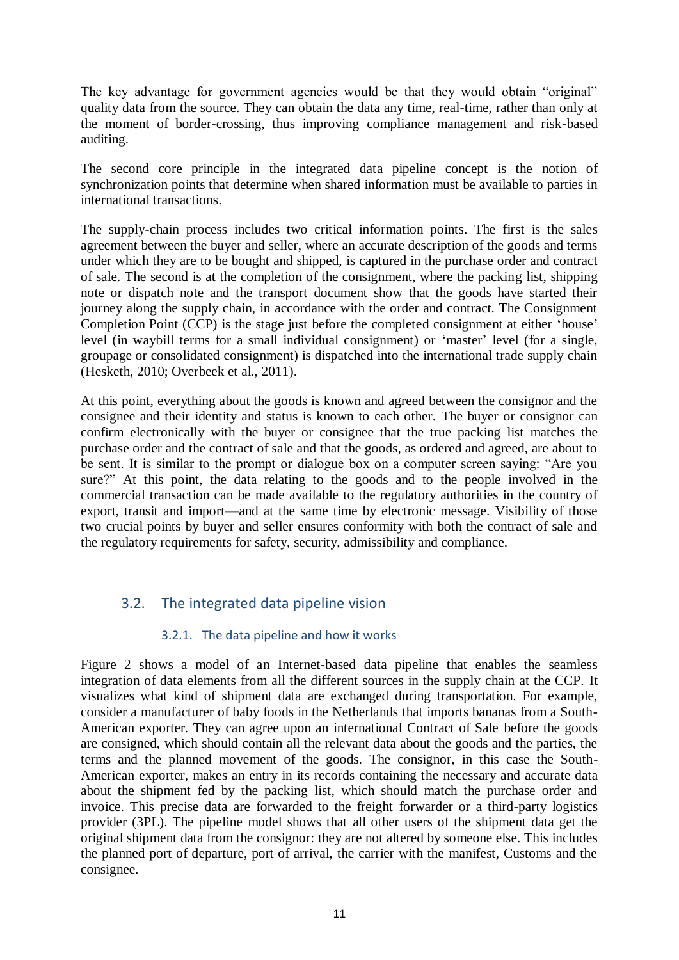The key advantage for government agencies would be that they would obtain "original" quality data from the source. They can obtain the data any time, real-time, rather than only at the moment of border-crossing, thus improving compliance management and risk-based auditing.

The second core principle in the integrated data pipeline concept is the notion of synchronization points that determine when shared information must be available to parties in international transactions.

The supply-chain process includes two critical information points. The first is the sales agreement between the buyer and seller, where an accurate description of the goods and terms under which they are to be bought and shipped, is captured in the purchase order and contract of sale. The second is at the completion of the consignment, where the packing list, shipping note or dispatch note and the transport document show that the goods have started their journey along the supply chain, in accordance with the order and contract. The Consignment Completion Point (CCP) is the stage just before the completed consignment at either 'house' level (in waybill terms for a small individual consignment) or ‗master' level (for a single, groupage or consolidated consignment) is dispatched into the international trade supply chain (Hesketh, 2010; Overbeek et al., 2011).

At this point, everything about the goods is known and agreed between the consignor and the consignee and their identity and status is known to each other. The buyer or consignor can confirm electronically with the buyer or consignee that the true packing list matches the purchase order and the contract of sale and that the goods, as ordered and agreed, are about to be sent. It is similar to the prompt or dialogue box on a computer screen saying: "Are you sure?" At this point, the data relating to the goods and to the people involved in the commercial transaction can be made available to the regulatory authorities in the country of export, transit and import—and at the same time by electronic message. Visibility of those two crucial points by buyer and seller ensures conformity with both the contract of sale and the regulatory requirements for safety, security, admissibility and compliance.

## 3.2. The integrated data pipeline vision

## 3.2.1. The data pipeline and how it works

Figure 2 shows a model of an Internet-based data pipeline that enables the seamless integration of data elements from all the different sources in the supply chain at the CCP. It visualizes what kind of shipment data are exchanged during transportation. For example, consider a manufacturer of baby foods in the Netherlands that imports bananas from a South-American exporter. They can agree upon an international Contract of Sale before the goods are consigned, which should contain all the relevant data about the goods and the parties, the terms and the planned movement of the goods. The consignor, in this case the South-American exporter, makes an entry in its records containing the necessary and accurate data about the shipment fed by the packing list, which should match the purchase order and invoice. This precise data are forwarded to the freight forwarder or a third-party logistics provider (3PL). The pipeline model shows that all other users of the shipment data get the original shipment data from the consignor: they are not altered by someone else. This includes the planned port of departure, port of arrival, the carrier with the manifest, Customs and the consignee.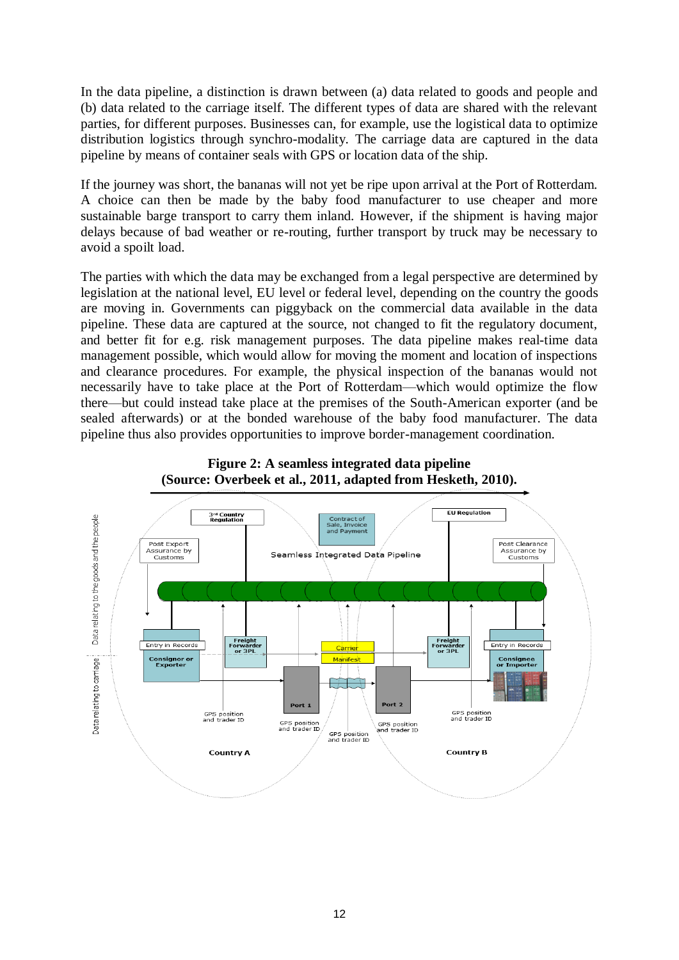In the data pipeline, a distinction is drawn between (a) data related to goods and people and (b) data related to the carriage itself. The different types of data are shared with the relevant parties, for different purposes. Businesses can, for example, use the logistical data to optimize distribution logistics through synchro-modality. The carriage data are captured in the data pipeline by means of container seals with GPS or location data of the ship.

If the journey was short, the bananas will not yet be ripe upon arrival at the Port of Rotterdam. A choice can then be made by the baby food manufacturer to use cheaper and more sustainable barge transport to carry them inland. However, if the shipment is having major delays because of bad weather or re-routing, further transport by truck may be necessary to avoid a spoilt load.

The parties with which the data may be exchanged from a legal perspective are determined by legislation at the national level, EU level or federal level, depending on the country the goods are moving in. Governments can piggyback on the commercial data available in the data pipeline. These data are captured at the source, not changed to fit the regulatory document, and better fit for e.g. risk management purposes. The data pipeline makes real-time data management possible, which would allow for moving the moment and location of inspections and clearance procedures. For example, the physical inspection of the bananas would not necessarily have to take place at the Port of Rotterdam—which would optimize the flow there—but could instead take place at the premises of the South-American exporter (and be sealed afterwards) or at the bonded warehouse of the baby food manufacturer. The data pipeline thus also provides opportunities to improve border-management coordination.



#### **Figure 2: A seamless integrated data pipeline (Source: Overbeek et al., 2011, adapted from Hesketh, 2010).**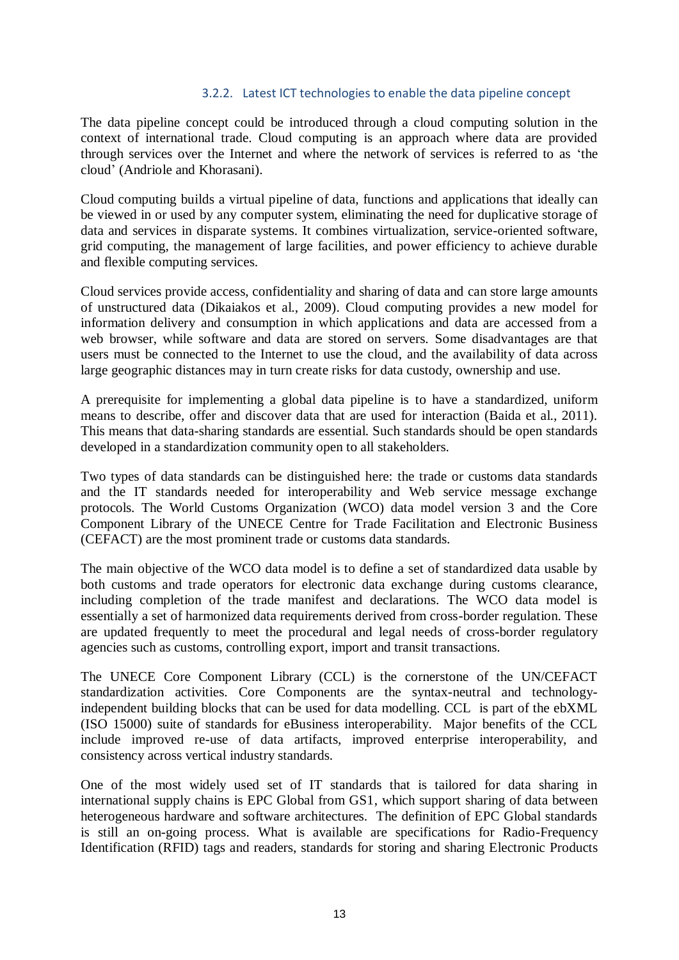#### 3.2.2. Latest ICT technologies to enable the data pipeline concept

The data pipeline concept could be introduced through a cloud computing solution in the context of international trade. Cloud computing is an approach where data are provided through services over the Internet and where the network of services is referred to as ‗the cloud' (Andriole and Khorasani).

Cloud computing builds a virtual pipeline of data, functions and applications that ideally can be viewed in or used by any computer system, eliminating the need for duplicative storage of data and services in disparate systems. It combines virtualization, service-oriented software, grid computing, the management of large facilities, and power efficiency to achieve durable and flexible computing services.

Cloud services provide access, confidentiality and sharing of data and can store large amounts of unstructured data (Dikaiakos et al., 2009). Cloud computing provides a new model for information delivery and consumption in which applications and data are accessed from a web browser, while software and data are stored on servers. Some disadvantages are that users must be connected to the Internet to use the cloud, and the availability of data across large geographic distances may in turn create risks for data custody, ownership and use.

A prerequisite for implementing a global data pipeline is to have a standardized, uniform means to describe, offer and discover data that are used for interaction (Baida et al., 2011). This means that data-sharing standards are essential. Such standards should be open standards developed in a standardization community open to all stakeholders.

Two types of data standards can be distinguished here: the trade or customs data standards and the IT standards needed for interoperability and Web service message exchange protocols. The World Customs Organization (WCO) data model version 3 and the Core Component Library of the UNECE Centre for Trade Facilitation and Electronic Business (CEFACT) are the most prominent trade or customs data standards.

The main objective of the WCO data model is to define a set of standardized data usable by both customs and trade operators for electronic data exchange during customs clearance, including completion of the trade manifest and declarations. The WCO data model is essentially a set of harmonized data requirements derived from cross-border regulation. These are updated frequently to meet the procedural and legal needs of cross-border regulatory agencies such as customs, controlling export, import and transit transactions.

The UNECE Core Component Library (CCL) is the cornerstone of the UN/CEFACT standardization activities. Core Components are the syntax-neutral and technologyindependent building blocks that can be used for data modelling. CCL is part of the ebXML (ISO 15000) suite of standards for eBusiness interoperability. Major benefits of the CCL include improved re-use of data artifacts, improved enterprise interoperability, and consistency across vertical industry standards.

One of the most widely used set of IT standards that is tailored for data sharing in international supply chains is EPC Global from GS1, which support sharing of data between heterogeneous hardware and software architectures. The definition of EPC Global standards is still an on-going process. What is available are specifications for Radio-Frequency Identification (RFID) tags and readers, standards for storing and sharing Electronic Products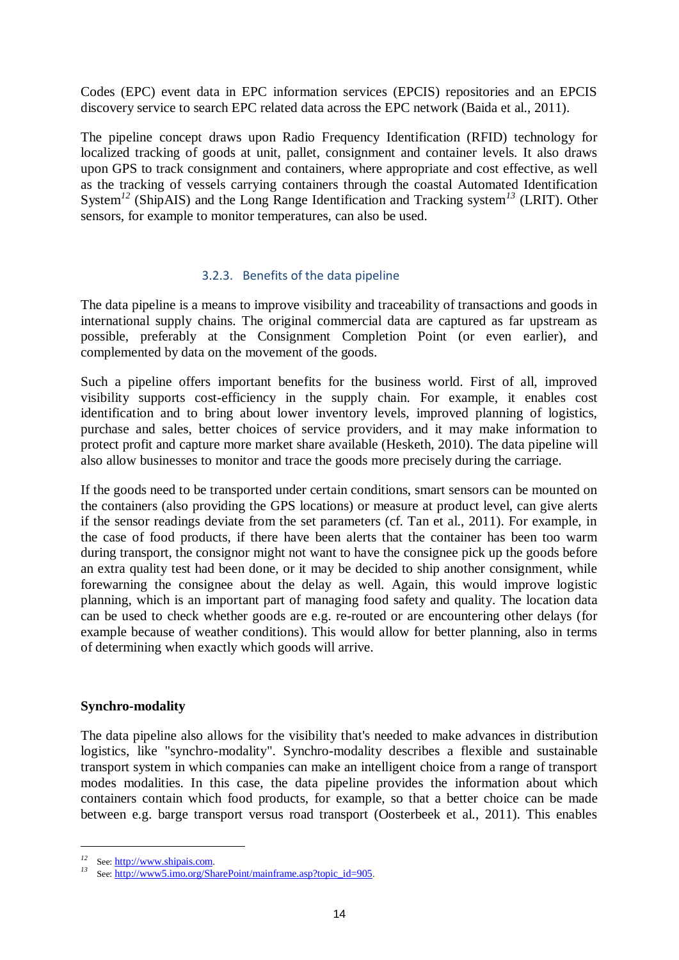Codes (EPC) event data in EPC information services (EPCIS) repositories and an EPCIS discovery service to search EPC related data across the EPC network (Baida et al., 2011).

The pipeline concept draws upon Radio Frequency Identification (RFID) technology for localized tracking of goods at unit, pallet, consignment and container levels. It also draws upon GPS to track consignment and containers, where appropriate and cost effective, as well as the tracking of vessels carrying containers through the coastal Automated Identification System*<sup>12</sup>* (ShipAIS) and the Long Range Identification and Tracking system*<sup>13</sup>* (LRIT). Other sensors, for example to monitor temperatures, can also be used.

#### 3.2.3. Benefits of the data pipeline

The data pipeline is a means to improve visibility and traceability of transactions and goods in international supply chains. The original commercial data are captured as far upstream as possible, preferably at the Consignment Completion Point (or even earlier), and complemented by data on the movement of the goods.

Such a pipeline offers important benefits for the business world. First of all, improved visibility supports cost-efficiency in the supply chain. For example, it enables cost identification and to bring about lower inventory levels, improved planning of logistics, purchase and sales, better choices of service providers, and it may make information to protect profit and capture more market share available (Hesketh, 2010). The data pipeline will also allow businesses to monitor and trace the goods more precisely during the carriage.

If the goods need to be transported under certain conditions, smart sensors can be mounted on the containers (also providing the GPS locations) or measure at product level, can give alerts if the sensor readings deviate from the set parameters (cf. Tan et al., 2011). For example, in the case of food products, if there have been alerts that the container has been too warm during transport, the consignor might not want to have the consignee pick up the goods before an extra quality test had been done, or it may be decided to ship another consignment, while forewarning the consignee about the delay as well. Again, this would improve logistic planning, which is an important part of managing food safety and quality. The location data can be used to check whether goods are e.g. re-routed or are encountering other delays (for example because of weather conditions). This would allow for better planning, also in terms of determining when exactly which goods will arrive.

#### **Synchro-modality**

The data pipeline also allows for the visibility that's needed to make advances in distribution logistics, like "synchro-modality". Synchro-modality describes a flexible and sustainable transport system in which companies can make an intelligent choice from a range of transport modes modalities. In this case, the data pipeline provides the information about which containers contain which food products, for example, so that a better choice can be made between e.g. barge transport versus road transport (Oosterbeek et al., 2011). This enables

<sup>&</sup>lt;sup>12</sup> See: [http://www.shipais.com](http://www.shipais.com/).

*<sup>13</sup>* See: [http://www5.imo.org/SharePoint/mainframe.asp?topic\\_id=905](http://www5.imo.org/SharePoint/mainframe.asp?topic_id=905).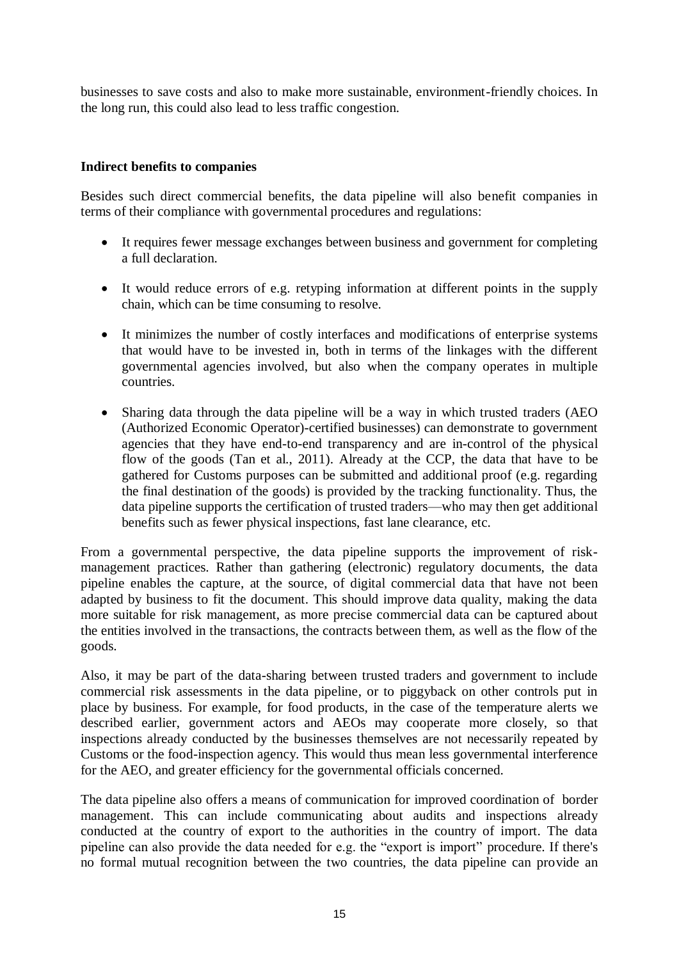businesses to save costs and also to make more sustainable, environment-friendly choices. In the long run, this could also lead to less traffic congestion.

#### **Indirect benefits to companies**

Besides such direct commercial benefits, the data pipeline will also benefit companies in terms of their compliance with governmental procedures and regulations:

- It requires fewer message exchanges between business and government for completing a full declaration.
- It would reduce errors of e.g. retyping information at different points in the supply chain, which can be time consuming to resolve.
- It minimizes the number of costly interfaces and modifications of enterprise systems that would have to be invested in, both in terms of the linkages with the different governmental agencies involved, but also when the company operates in multiple countries.
- Sharing data through the data pipeline will be a way in which trusted traders (AEO (Authorized Economic Operator)-certified businesses) can demonstrate to government agencies that they have end-to-end transparency and are in-control of the physical flow of the goods (Tan et al., 2011). Already at the CCP, the data that have to be gathered for Customs purposes can be submitted and additional proof (e.g. regarding the final destination of the goods) is provided by the tracking functionality. Thus, the data pipeline supports the certification of trusted traders—who may then get additional benefits such as fewer physical inspections, fast lane clearance, etc.

From a governmental perspective, the data pipeline supports the improvement of riskmanagement practices. Rather than gathering (electronic) regulatory documents, the data pipeline enables the capture, at the source, of digital commercial data that have not been adapted by business to fit the document. This should improve data quality, making the data more suitable for risk management, as more precise commercial data can be captured about the entities involved in the transactions, the contracts between them, as well as the flow of the goods.

Also, it may be part of the data-sharing between trusted traders and government to include commercial risk assessments in the data pipeline, or to piggyback on other controls put in place by business. For example, for food products, in the case of the temperature alerts we described earlier, government actors and AEOs may cooperate more closely, so that inspections already conducted by the businesses themselves are not necessarily repeated by Customs or the food-inspection agency. This would thus mean less governmental interference for the AEO, and greater efficiency for the governmental officials concerned.

The data pipeline also offers a means of communication for improved coordination of border management. This can include communicating about audits and inspections already conducted at the country of export to the authorities in the country of import. The data pipeline can also provide the data needed for e.g. the "export is import" procedure. If there's no formal mutual recognition between the two countries, the data pipeline can provide an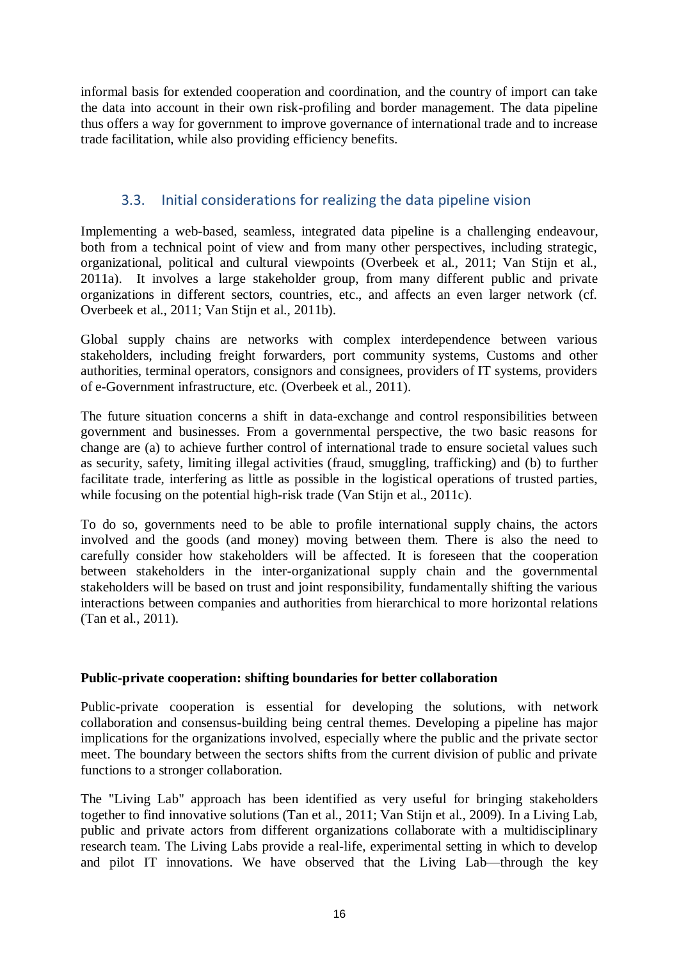informal basis for extended cooperation and coordination, and the country of import can take the data into account in their own risk-profiling and border management. The data pipeline thus offers a way for government to improve governance of international trade and to increase trade facilitation, while also providing efficiency benefits.

## 3.3. Initial considerations for realizing the data pipeline vision

Implementing a web-based, seamless, integrated data pipeline is a challenging endeavour, both from a technical point of view and from many other perspectives, including strategic, organizational, political and cultural viewpoints (Overbeek et al., 2011; Van Stijn et al., 2011a). It involves a large stakeholder group, from many different public and private organizations in different sectors, countries, etc., and affects an even larger network (cf. Overbeek et al., 2011; Van Stijn et al., 2011b).

Global supply chains are networks with complex interdependence between various stakeholders, including freight forwarders, port community systems, Customs and other authorities, terminal operators, consignors and consignees, providers of IT systems, providers of e-Government infrastructure, etc. (Overbeek et al., 2011).

The future situation concerns a shift in data-exchange and control responsibilities between government and businesses. From a governmental perspective, the two basic reasons for change are (a) to achieve further control of international trade to ensure societal values such as security, safety, limiting illegal activities (fraud, smuggling, trafficking) and (b) to further facilitate trade, interfering as little as possible in the logistical operations of trusted parties, while focusing on the potential high-risk trade (Van Stijn et al., 2011c).

To do so, governments need to be able to profile international supply chains, the actors involved and the goods (and money) moving between them. There is also the need to carefully consider how stakeholders will be affected. It is foreseen that the cooperation between stakeholders in the inter-organizational supply chain and the governmental stakeholders will be based on trust and joint responsibility, fundamentally shifting the various interactions between companies and authorities from hierarchical to more horizontal relations (Tan et al., 2011).

#### **Public-private cooperation: shifting boundaries for better collaboration**

Public-private cooperation is essential for developing the solutions, with network collaboration and consensus-building being central themes. Developing a pipeline has major implications for the organizations involved, especially where the public and the private sector meet. The boundary between the sectors shifts from the current division of public and private functions to a stronger collaboration.

The "Living Lab" approach has been identified as very useful for bringing stakeholders together to find innovative solutions (Tan et al., 2011; Van Stijn et al., 2009). In a Living Lab, public and private actors from different organizations collaborate with a multidisciplinary research team. The Living Labs provide a real-life, experimental setting in which to develop and pilot IT innovations. We have observed that the Living Lab—through the key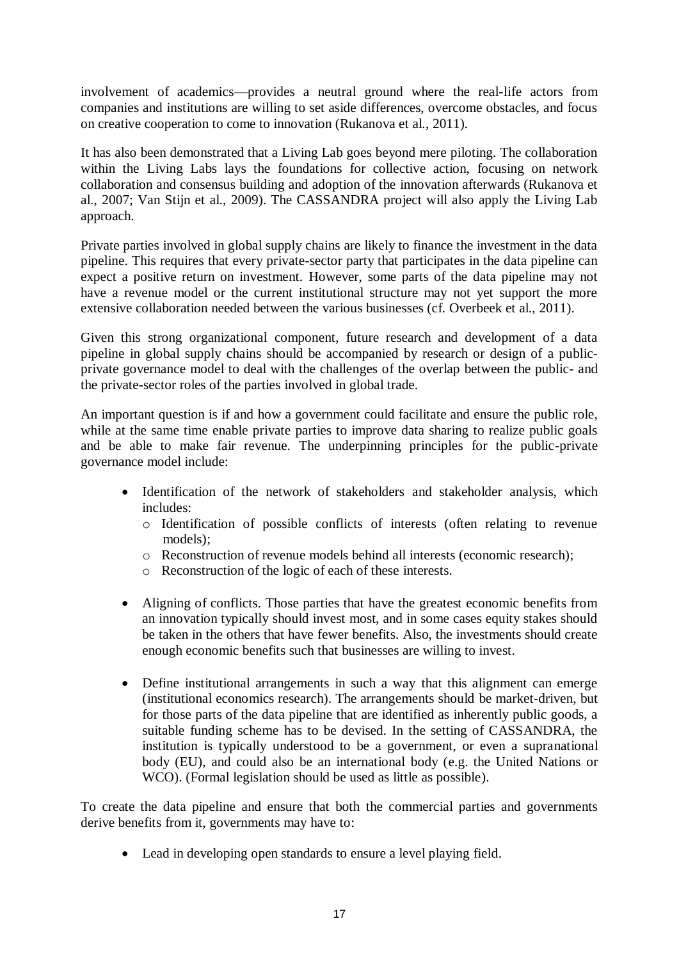involvement of academics—provides a neutral ground where the real-life actors from companies and institutions are willing to set aside differences, overcome obstacles, and focus on creative cooperation to come to innovation (Rukanova et al., 2011).

It has also been demonstrated that a Living Lab goes beyond mere piloting. The collaboration within the Living Labs lays the foundations for collective action, focusing on network collaboration and consensus building and adoption of the innovation afterwards (Rukanova et al., 2007; Van Stijn et al., 2009). The CASSANDRA project will also apply the Living Lab approach.

Private parties involved in global supply chains are likely to finance the investment in the data pipeline. This requires that every private-sector party that participates in the data pipeline can expect a positive return on investment. However, some parts of the data pipeline may not have a revenue model or the current institutional structure may not yet support the more extensive collaboration needed between the various businesses (cf. Overbeek et al., 2011).

Given this strong organizational component, future research and development of a data pipeline in global supply chains should be accompanied by research or design of a publicprivate governance model to deal with the challenges of the overlap between the public- and the private-sector roles of the parties involved in global trade.

An important question is if and how a government could facilitate and ensure the public role, while at the same time enable private parties to improve data sharing to realize public goals and be able to make fair revenue. The underpinning principles for the public-private governance model include:

- Identification of the network of stakeholders and stakeholder analysis, which includes:
	- o Identification of possible conflicts of interests (often relating to revenue models);
	- o Reconstruction of revenue models behind all interests (economic research);
	- o Reconstruction of the logic of each of these interests.
- Aligning of conflicts. Those parties that have the greatest economic benefits from an innovation typically should invest most, and in some cases equity stakes should be taken in the others that have fewer benefits. Also, the investments should create enough economic benefits such that businesses are willing to invest.
- Define institutional arrangements in such a way that this alignment can emerge (institutional economics research). The arrangements should be market-driven, but for those parts of the data pipeline that are identified as inherently public goods, a suitable funding scheme has to be devised. In the setting of CASSANDRA, the institution is typically understood to be a government, or even a supranational body (EU), and could also be an international body (e.g. the United Nations or WCO). (Formal legislation should be used as little as possible).

To create the data pipeline and ensure that both the commercial parties and governments derive benefits from it, governments may have to:

Lead in developing open standards to ensure a level playing field.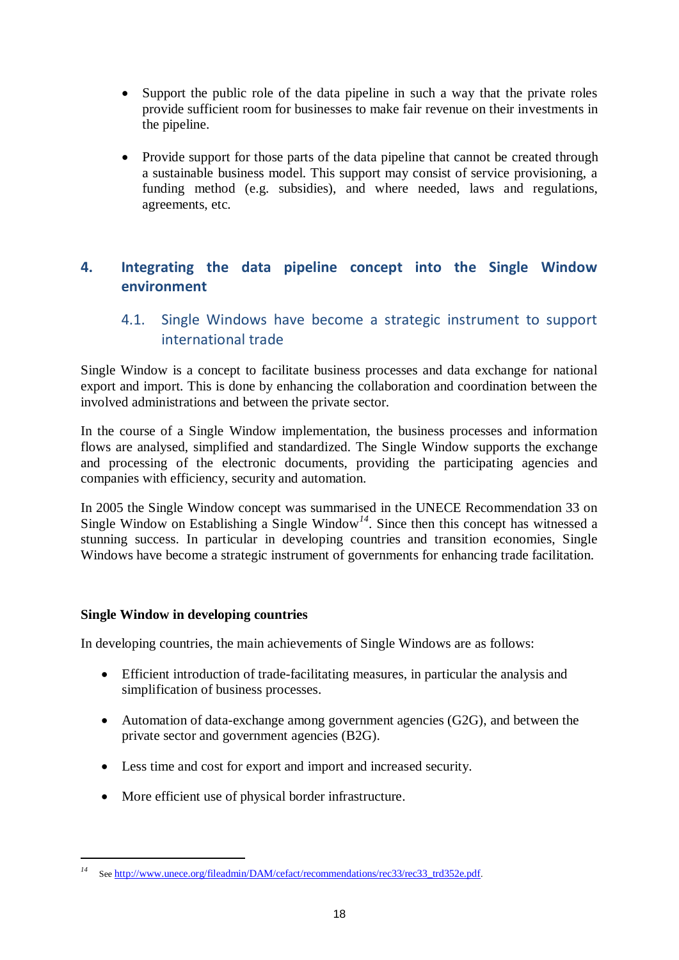- Support the public role of the data pipeline in such a way that the private roles provide sufficient room for businesses to make fair revenue on their investments in the pipeline.
- Provide support for those parts of the data pipeline that cannot be created through a sustainable business model. This support may consist of service provisioning, a funding method (e.g. subsidies), and where needed, laws and regulations, agreements, etc.

## **4. Integrating the data pipeline concept into the Single Window environment**

## 4.1. Single Windows have become a strategic instrument to support international trade

Single Window is a concept to facilitate business processes and data exchange for national export and import. This is done by enhancing the collaboration and coordination between the involved administrations and between the private sector.

In the course of a Single Window implementation, the business processes and information flows are analysed, simplified and standardized. The Single Window supports the exchange and processing of the electronic documents, providing the participating agencies and companies with efficiency, security and automation.

In 2005 the Single Window concept was summarised in the UNECE Recommendation 33 on Single Window on Establishing a Single Window<sup>14</sup>. Since then this concept has witnessed a stunning success. In particular in developing countries and transition economies, Single Windows have become a strategic instrument of governments for enhancing trade facilitation.

#### **Single Window in developing countries**

1

In developing countries, the main achievements of Single Windows are as follows:

- Efficient introduction of trade-facilitating measures, in particular the analysis and simplification of business processes.
- Automation of data-exchange among government agencies (G2G), and between the private sector and government agencies (B2G).
- Less time and cost for export and import and increased security.
- More efficient use of physical border infrastructure.

<sup>&</sup>lt;sup>14</sup> See [http://www.unece.org/fileadmin/DAM/cefact/recommendations/rec33/rec33\\_trd352e.pdf](http://www.unece.org/fileadmin/DAM/cefact/recommendations/rec33/rec33_trd352e.pdf).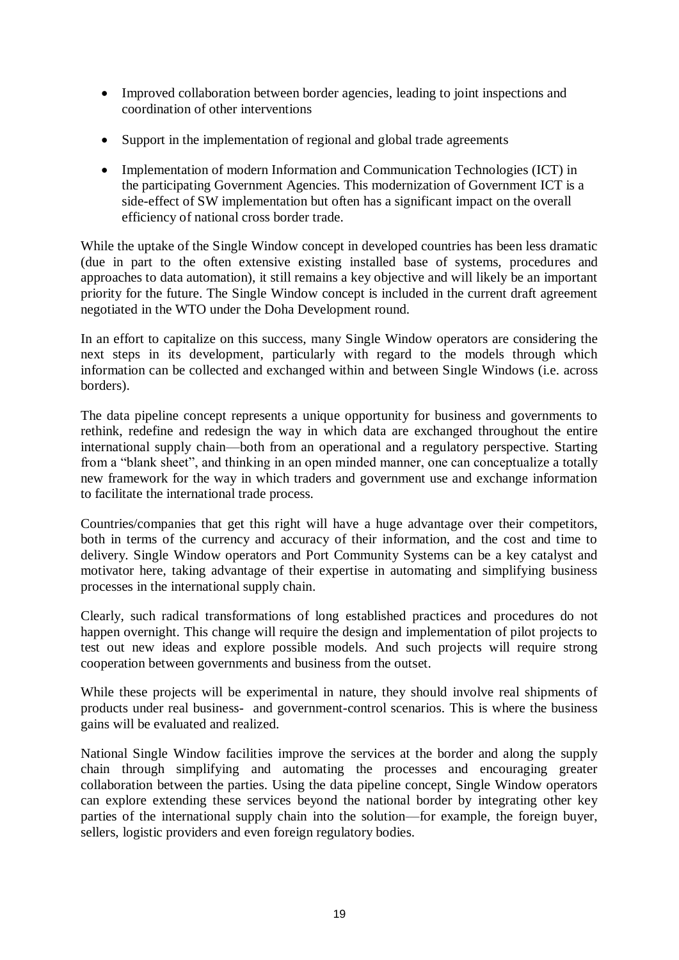- Improved collaboration between border agencies, leading to joint inspections and coordination of other interventions
- Support in the implementation of regional and global trade agreements
- Implementation of modern Information and Communication Technologies (ICT) in the participating Government Agencies. This modernization of Government ICT is a side-effect of SW implementation but often has a significant impact on the overall efficiency of national cross border trade.

While the uptake of the Single Window concept in developed countries has been less dramatic (due in part to the often extensive existing installed base of systems, procedures and approaches to data automation), it still remains a key objective and will likely be an important priority for the future. The Single Window concept is included in the current draft agreement negotiated in the WTO under the Doha Development round.

In an effort to capitalize on this success, many Single Window operators are considering the next steps in its development, particularly with regard to the models through which information can be collected and exchanged within and between Single Windows (i.e. across borders).

The data pipeline concept represents a unique opportunity for business and governments to rethink, redefine and redesign the way in which data are exchanged throughout the entire international supply chain—both from an operational and a regulatory perspective. Starting from a "blank sheet", and thinking in an open minded manner, one can conceptualize a totally new framework for the way in which traders and government use and exchange information to facilitate the international trade process.

Countries/companies that get this right will have a huge advantage over their competitors, both in terms of the currency and accuracy of their information, and the cost and time to delivery. Single Window operators and Port Community Systems can be a key catalyst and motivator here, taking advantage of their expertise in automating and simplifying business processes in the international supply chain.

Clearly, such radical transformations of long established practices and procedures do not happen overnight. This change will require the design and implementation of pilot projects to test out new ideas and explore possible models. And such projects will require strong cooperation between governments and business from the outset.

While these projects will be experimental in nature, they should involve real shipments of products under real business- and government-control scenarios. This is where the business gains will be evaluated and realized.

National Single Window facilities improve the services at the border and along the supply chain through simplifying and automating the processes and encouraging greater collaboration between the parties. Using the data pipeline concept, Single Window operators can explore extending these services beyond the national border by integrating other key parties of the international supply chain into the solution—for example, the foreign buyer, sellers, logistic providers and even foreign regulatory bodies.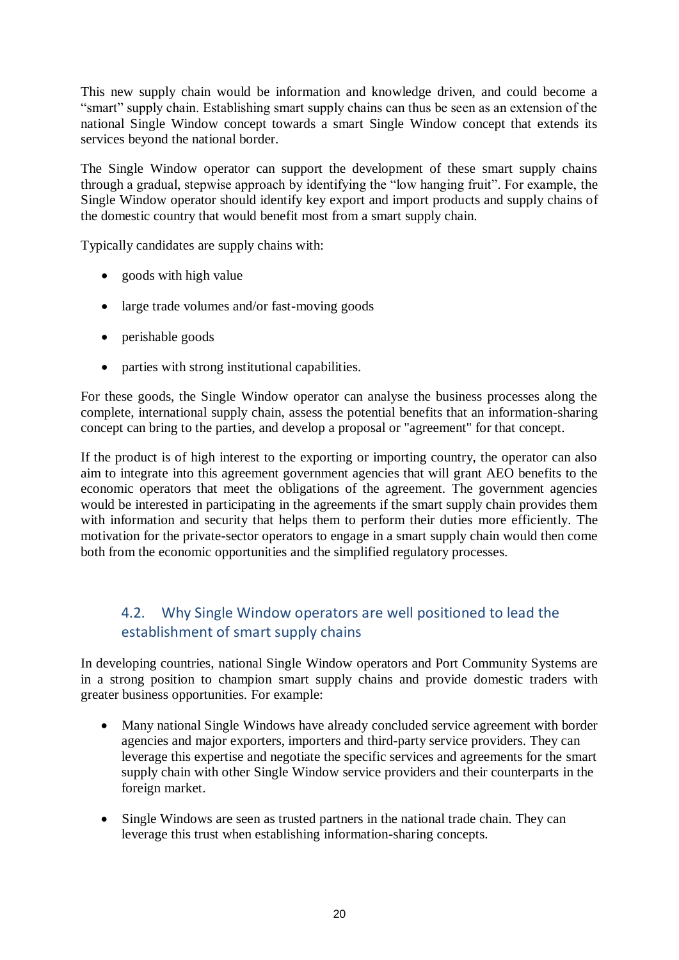This new supply chain would be information and knowledge driven, and could become a ―smart‖ supply chain. Establishing smart supply chains can thus be seen as an extension of the national Single Window concept towards a smart Single Window concept that extends its services beyond the national border.

The Single Window operator can support the development of these smart supply chains through a gradual, stepwise approach by identifying the "low hanging fruit". For example, the Single Window operator should identify key export and import products and supply chains of the domestic country that would benefit most from a smart supply chain.

Typically candidates are supply chains with:

- goods with high value
- large trade volumes and/or fast-moving goods
- perishable goods
- parties with strong institutional capabilities.

For these goods, the Single Window operator can analyse the business processes along the complete, international supply chain, assess the potential benefits that an information-sharing concept can bring to the parties, and develop a proposal or "agreement" for that concept.

If the product is of high interest to the exporting or importing country, the operator can also aim to integrate into this agreement government agencies that will grant AEO benefits to the economic operators that meet the obligations of the agreement. The government agencies would be interested in participating in the agreements if the smart supply chain provides them with information and security that helps them to perform their duties more efficiently. The motivation for the private-sector operators to engage in a smart supply chain would then come both from the economic opportunities and the simplified regulatory processes.

## 4.2. Why Single Window operators are well positioned to lead the establishment of smart supply chains

In developing countries, national Single Window operators and Port Community Systems are in a strong position to champion smart supply chains and provide domestic traders with greater business opportunities. For example:

- Many national Single Windows have already concluded service agreement with border agencies and major exporters, importers and third-party service providers. They can leverage this expertise and negotiate the specific services and agreements for the smart supply chain with other Single Window service providers and their counterparts in the foreign market.
- Single Windows are seen as trusted partners in the national trade chain. They can leverage this trust when establishing information-sharing concepts.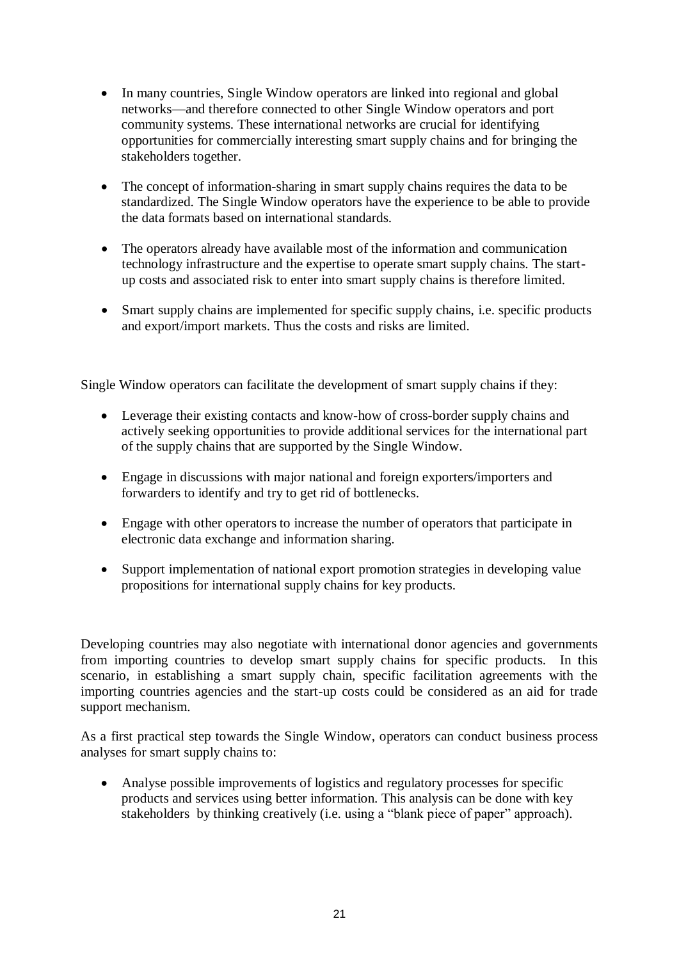- In many countries, Single Window operators are linked into regional and global networks—and therefore connected to other Single Window operators and port community systems. These international networks are crucial for identifying opportunities for commercially interesting smart supply chains and for bringing the stakeholders together.
- The concept of information-sharing in smart supply chains requires the data to be standardized. The Single Window operators have the experience to be able to provide the data formats based on international standards.
- The operators already have available most of the information and communication technology infrastructure and the expertise to operate smart supply chains. The startup costs and associated risk to enter into smart supply chains is therefore limited.
- Smart supply chains are implemented for specific supply chains, i.e. specific products and export/import markets. Thus the costs and risks are limited.

Single Window operators can facilitate the development of smart supply chains if they:

- Leverage their existing contacts and know-how of cross-border supply chains and actively seeking opportunities to provide additional services for the international part of the supply chains that are supported by the Single Window.
- Engage in discussions with major national and foreign exporters/importers and forwarders to identify and try to get rid of bottlenecks.
- Engage with other operators to increase the number of operators that participate in electronic data exchange and information sharing.
- Support implementation of national export promotion strategies in developing value propositions for international supply chains for key products.

Developing countries may also negotiate with international donor agencies and governments from importing countries to develop smart supply chains for specific products. In this scenario, in establishing a smart supply chain, specific facilitation agreements with the importing countries agencies and the start-up costs could be considered as an aid for trade support mechanism.

As a first practical step towards the Single Window, operators can conduct business process analyses for smart supply chains to:

 Analyse possible improvements of logistics and regulatory processes for specific products and services using better information. This analysis can be done with key stakeholders by thinking creatively (i.e. using a "blank piece of paper" approach).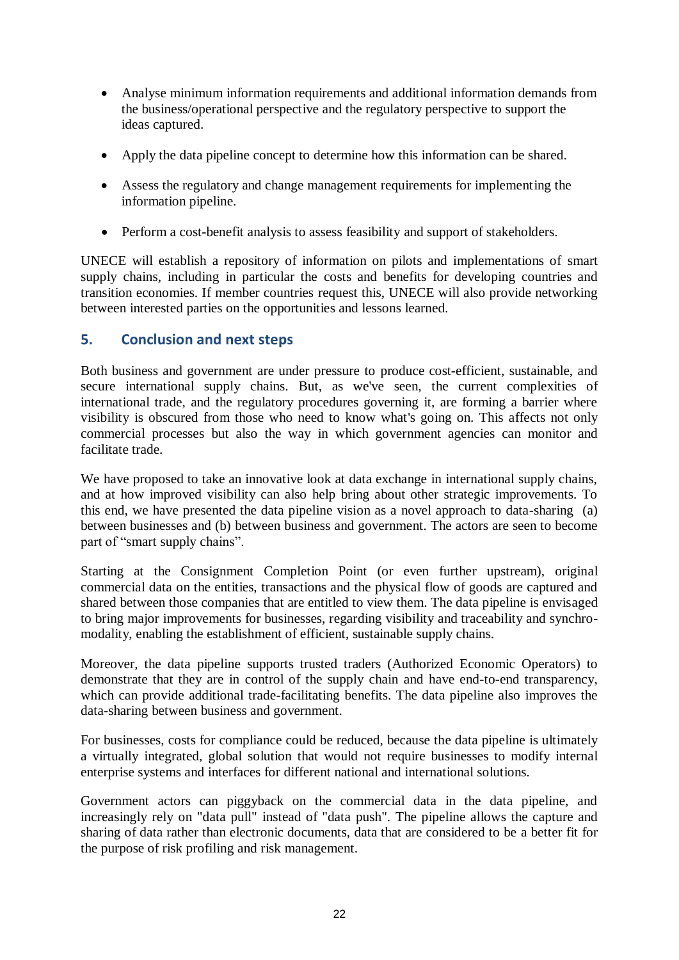- Analyse minimum information requirements and additional information demands from the business/operational perspective and the regulatory perspective to support the ideas captured.
- Apply the data pipeline concept to determine how this information can be shared.
- Assess the regulatory and change management requirements for implementing the information pipeline.
- Perform a cost-benefit analysis to assess feasibility and support of stakeholders.

UNECE will establish a repository of information on pilots and implementations of smart supply chains, including in particular the costs and benefits for developing countries and transition economies. If member countries request this, UNECE will also provide networking between interested parties on the opportunities and lessons learned.

## **5. Conclusion and next steps**

Both business and government are under pressure to produce cost-efficient, sustainable, and secure international supply chains. But, as we've seen, the current complexities of international trade, and the regulatory procedures governing it, are forming a barrier where visibility is obscured from those who need to know what's going on. This affects not only commercial processes but also the way in which government agencies can monitor and facilitate trade.

We have proposed to take an innovative look at data exchange in international supply chains, and at how improved visibility can also help bring about other strategic improvements. To this end, we have presented the data pipeline vision as a novel approach to data-sharing (a) between businesses and (b) between business and government. The actors are seen to become part of "smart supply chains".

Starting at the Consignment Completion Point (or even further upstream), original commercial data on the entities, transactions and the physical flow of goods are captured and shared between those companies that are entitled to view them. The data pipeline is envisaged to bring major improvements for businesses, regarding visibility and traceability and synchromodality, enabling the establishment of efficient, sustainable supply chains.

Moreover, the data pipeline supports trusted traders (Authorized Economic Operators) to demonstrate that they are in control of the supply chain and have end-to-end transparency, which can provide additional trade-facilitating benefits. The data pipeline also improves the data-sharing between business and government.

For businesses, costs for compliance could be reduced, because the data pipeline is ultimately a virtually integrated, global solution that would not require businesses to modify internal enterprise systems and interfaces for different national and international solutions.

Government actors can piggyback on the commercial data in the data pipeline, and increasingly rely on "data pull" instead of "data push". The pipeline allows the capture and sharing of data rather than electronic documents, data that are considered to be a better fit for the purpose of risk profiling and risk management.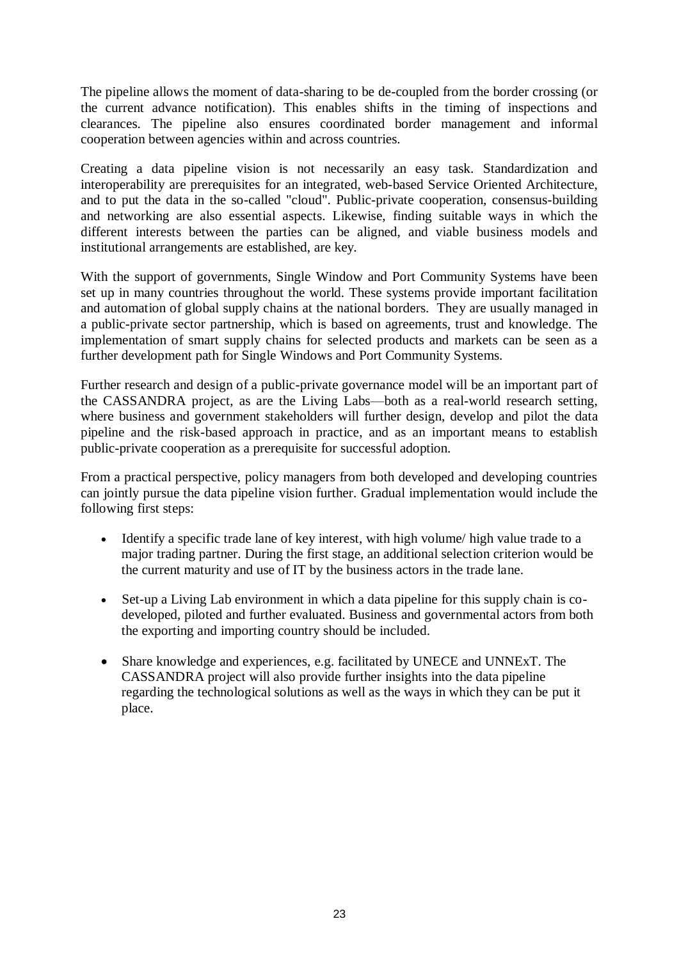The pipeline allows the moment of data-sharing to be de-coupled from the border crossing (or the current advance notification). This enables shifts in the timing of inspections and clearances. The pipeline also ensures coordinated border management and informal cooperation between agencies within and across countries.

Creating a data pipeline vision is not necessarily an easy task. Standardization and interoperability are prerequisites for an integrated, web-based Service Oriented Architecture, and to put the data in the so-called "cloud". Public-private cooperation, consensus-building and networking are also essential aspects. Likewise, finding suitable ways in which the different interests between the parties can be aligned, and viable business models and institutional arrangements are established, are key.

With the support of governments, Single Window and Port Community Systems have been set up in many countries throughout the world. These systems provide important facilitation and automation of global supply chains at the national borders. They are usually managed in a public-private sector partnership, which is based on agreements, trust and knowledge. The implementation of smart supply chains for selected products and markets can be seen as a further development path for Single Windows and Port Community Systems.

Further research and design of a public-private governance model will be an important part of the CASSANDRA project, as are the Living Labs—both as a real-world research setting, where business and government stakeholders will further design, develop and pilot the data pipeline and the risk-based approach in practice, and as an important means to establish public-private cooperation as a prerequisite for successful adoption.

From a practical perspective, policy managers from both developed and developing countries can jointly pursue the data pipeline vision further. Gradual implementation would include the following first steps:

- Identify a specific trade lane of key interest, with high volume/ high value trade to a major trading partner. During the first stage, an additional selection criterion would be the current maturity and use of IT by the business actors in the trade lane.
- Set-up a Living Lab environment in which a data pipeline for this supply chain is codeveloped, piloted and further evaluated. Business and governmental actors from both the exporting and importing country should be included.
- Share knowledge and experiences, e.g. facilitated by UNECE and UNNExT. The CASSANDRA project will also provide further insights into the data pipeline regarding the technological solutions as well as the ways in which they can be put it place.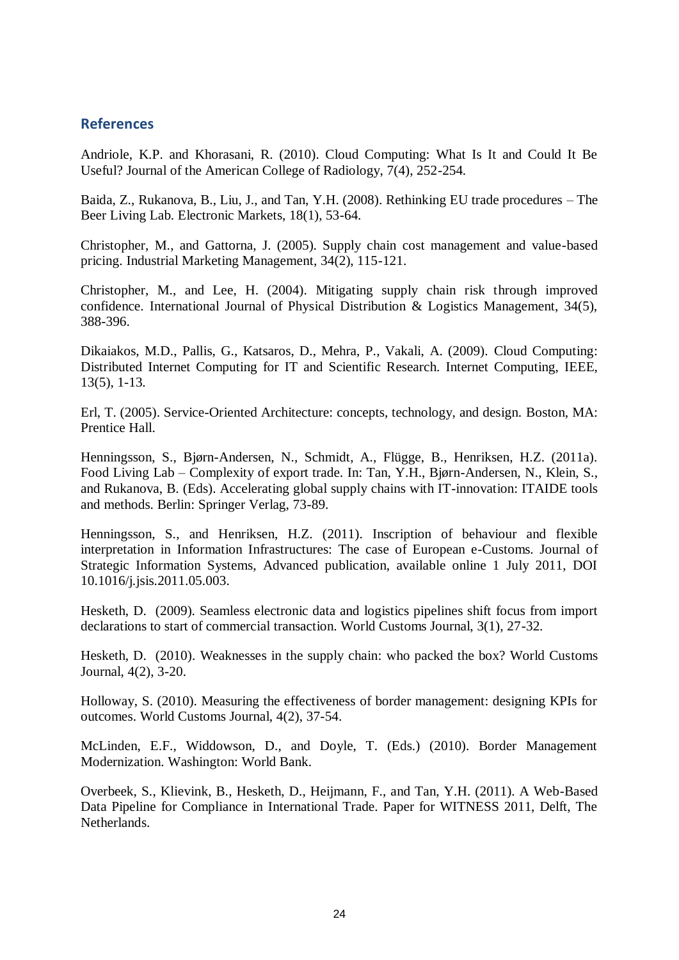#### **References**

Andriole, K.P. and Khorasani, R. (2010). Cloud Computing: What Is It and Could It Be Useful? Journal of the American College of Radiology, 7(4), 252-254.

Baida, Z., Rukanova, B., Liu, J., and Tan, Y.H. (2008). Rethinking EU trade procedures – The Beer Living Lab. Electronic Markets, 18(1), 53-64.

Christopher, M., and Gattorna, J. (2005). Supply chain cost management and value-based pricing. Industrial Marketing Management, 34(2), 115-121.

Christopher, M., and Lee, H. (2004). Mitigating supply chain risk through improved confidence. International Journal of Physical Distribution & Logistics Management, 34(5), 388-396.

Dikaiakos, M.D., Pallis, G., Katsaros, D., Mehra, P., Vakali, A. (2009). Cloud Computing: Distributed Internet Computing for IT and Scientific Research. Internet Computing, IEEE, 13(5), 1-13.

Erl, T. (2005). Service-Oriented Architecture: concepts, technology, and design. Boston, MA: Prentice Hall.

Henningsson, S., Bjørn-Andersen, N., Schmidt, A., Flügge, B., Henriksen, H.Z. (2011a). Food Living Lab – Complexity of export trade. In: Tan, Y.H., Bjørn-Andersen, N., Klein, S., and Rukanova, B. (Eds). Accelerating global supply chains with IT-innovation: ITAIDE tools and methods. Berlin: Springer Verlag, 73-89.

Henningsson, S., and Henriksen, H.Z. (2011). Inscription of behaviour and flexible interpretation in Information Infrastructures: The case of European e-Customs. Journal of Strategic Information Systems, Advanced publication, available online 1 July 2011, DOI 10.1016/j.jsis.2011.05.003.

Hesketh, D. (2009). Seamless electronic data and logistics pipelines shift focus from import declarations to start of commercial transaction. World Customs Journal, 3(1), 27-32.

Hesketh, D. (2010). Weaknesses in the supply chain: who packed the box? World Customs Journal, 4(2), 3-20.

Holloway, S. (2010). Measuring the effectiveness of border management: designing KPIs for outcomes. World Customs Journal, 4(2), 37-54.

McLinden, E.F., Widdowson, D., and Doyle, T. (Eds.) (2010). Border Management Modernization. Washington: World Bank.

Overbeek, S., Klievink, B., Hesketh, D., Heijmann, F., and Tan, Y.H. (2011). A Web-Based Data Pipeline for Compliance in International Trade. Paper for WITNESS 2011, Delft, The Netherlands.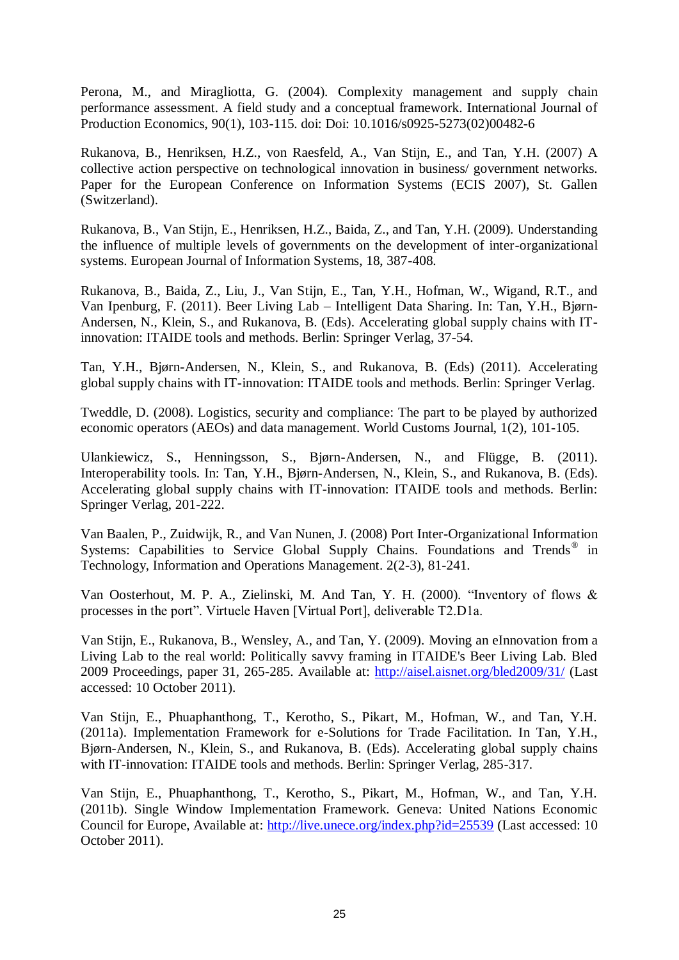Perona, M., and Miragliotta, G. (2004). Complexity management and supply chain performance assessment. A field study and a conceptual framework. International Journal of Production Economics, 90(1), 103-115. doi: Doi: 10.1016/s0925-5273(02)00482-6

Rukanova, B., Henriksen, H.Z., von Raesfeld, A., Van Stijn, E., and Tan, Y.H. (2007) A collective action perspective on technological innovation in business/ government networks. Paper for the European Conference on Information Systems (ECIS 2007), St. Gallen (Switzerland).

Rukanova, B., Van Stijn, E., Henriksen, H.Z., Baida, Z., and Tan, Y.H. (2009). Understanding the influence of multiple levels of governments on the development of inter-organizational systems. European Journal of Information Systems, 18, 387-408.

Rukanova, B., Baida, Z., Liu, J., Van Stijn, E., Tan, Y.H., Hofman, W., Wigand, R.T., and Van Ipenburg, F. (2011). Beer Living Lab – Intelligent Data Sharing. In: Tan, Y.H., Bjørn-Andersen, N., Klein, S., and Rukanova, B. (Eds). Accelerating global supply chains with ITinnovation: ITAIDE tools and methods. Berlin: Springer Verlag, 37-54.

Tan, Y.H., Bjørn-Andersen, N., Klein, S., and Rukanova, B. (Eds) (2011). Accelerating global supply chains with IT-innovation: ITAIDE tools and methods. Berlin: Springer Verlag.

Tweddle, D. (2008). Logistics, security and compliance: The part to be played by authorized economic operators (AEOs) and data management. World Customs Journal, 1(2), 101-105.

Ulankiewicz, S., Henningsson, S., Bjørn-Andersen, N., and Flügge, B. (2011). Interoperability tools. In: Tan, Y.H., Bjørn-Andersen, N., Klein, S., and Rukanova, B. (Eds). Accelerating global supply chains with IT-innovation: ITAIDE tools and methods. Berlin: Springer Verlag, 201-222.

Van Baalen, P., Zuidwijk, R., and Van Nunen, J. (2008) Port Inter-Organizational Information Systems: Capabilities to Service Global Supply Chains. Foundations and Trends<sup>®</sup> in Technology, Information and Operations Management. 2(2-3), 81-241.

Van Oosterhout, M. P. A., Zielinski, M. And Tan, Y. H. (2000). "Inventory of flows  $\&$ processes in the port". Virtuele Haven [Virtual Port], deliverable T2.D1a.

Van Stijn, E., Rukanova, B., Wensley, A., and Tan, Y. (2009). Moving an eInnovation from a Living Lab to the real world: Politically savvy framing in ITAIDE's Beer Living Lab. Bled 2009 Proceedings, paper 31, 265-285. Available at:<http://aisel.aisnet.org/bled2009/31/> (Last accessed: 10 October 2011).

Van Stijn, E., Phuaphanthong, T., Kerotho, S., Pikart, M., Hofman, W., and Tan, Y.H. (2011a). Implementation Framework for e-Solutions for Trade Facilitation. In Tan, Y.H., Bjørn-Andersen, N., Klein, S., and Rukanova, B. (Eds). Accelerating global supply chains with IT-innovation: ITAIDE tools and methods. Berlin: Springer Verlag, 285-317.

Van Stijn, E., Phuaphanthong, T., Kerotho, S., Pikart, M., Hofman, W., and Tan, Y.H. (2011b). Single Window Implementation Framework. Geneva: United Nations Economic Council for Europe, Available at:<http://live.unece.org/index.php?id=25539> (Last accessed: 10 October 2011).